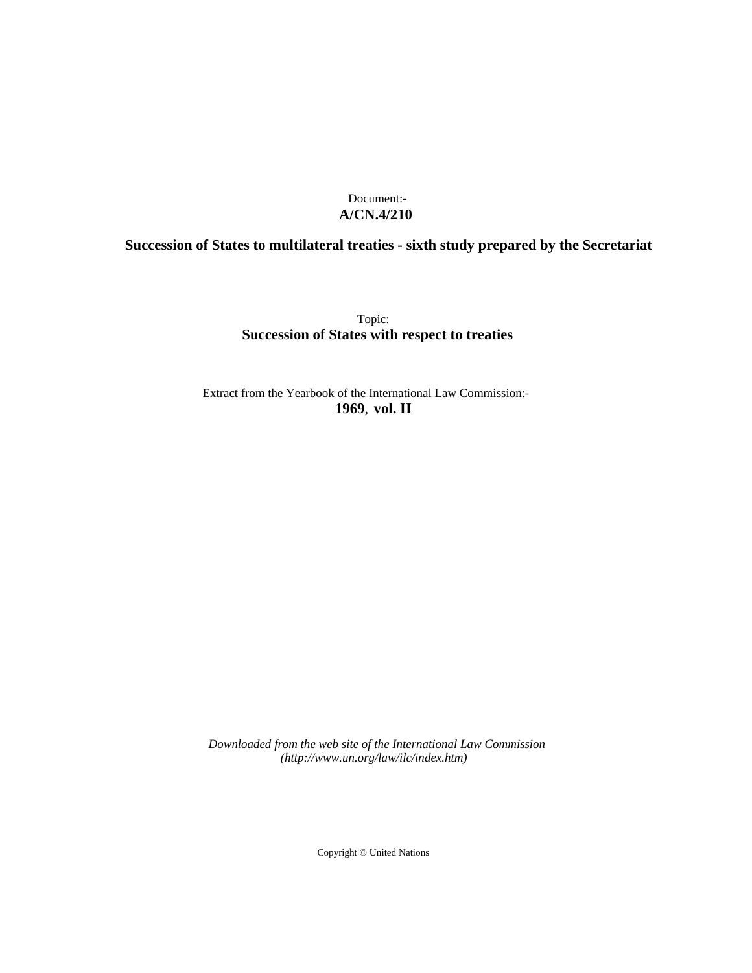# Document:- **A/CN.4/210**

# **Succession of States to multilateral treaties - sixth study prepared by the Secretariat**

Topic: **Succession of States with respect to treaties**

Extract from the Yearbook of the International Law Commission:- **1969**, **vol. II**

*Downloaded from the web site of the International Law Commission (http://www.un.org/law/ilc/index.htm)*

Copyright © United Nations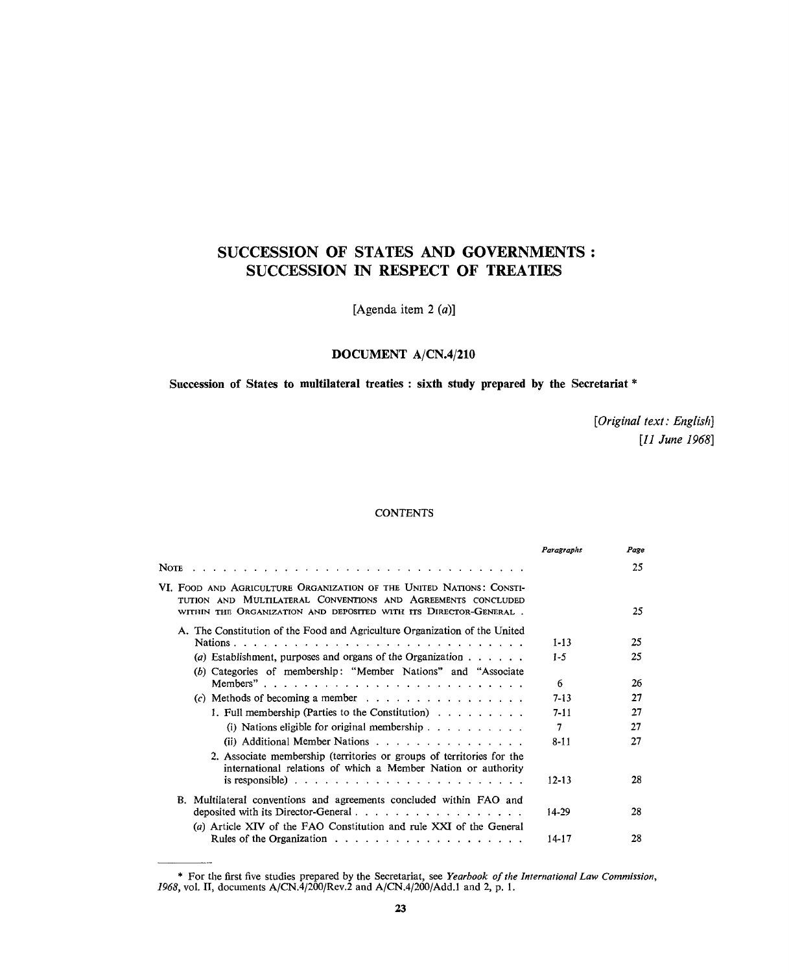# SUCCESSION OF STATES AND GOVERNMENTS : SUCCESSION IN RESPECT OF TREATIES

[Agenda item 2 (a)]

# **DOCUMENT A/CN.4/210**

**Succession of States to multilateral treaties : sixth study prepared by the Secretariat \***

*[Original text: English] [11 June 1968]*

#### **CONTENTS**

|                                                                                                                                                                                                          | Paragraphs | Page |
|----------------------------------------------------------------------------------------------------------------------------------------------------------------------------------------------------------|------------|------|
|                                                                                                                                                                                                          |            | 25   |
| VI. FOOD AND AGRICULTURE ORGANIZATION OF THE UNITED NATIONS: CONSTI-<br>TUTION AND MULTILATERAL CONVENTIONS AND AGREEMENTS CONCLUDED<br>WITHIN THE ORGANIZATION AND DEPOSITED WITH ITS DIRECTOR-GENERAL. |            | 25   |
| A. The Constitution of the Food and Agriculture Organization of the United                                                                                                                               |            |      |
|                                                                                                                                                                                                          | $1 - 13$   | 25   |
| (a) Establishment, purposes and organs of the Organization $\dots$ ,                                                                                                                                     | $1 - 5$    | 25   |
| (b) Categories of membership: "Member Nations" and "Associate"                                                                                                                                           |            |      |
|                                                                                                                                                                                                          | 6          | 26   |
| (c) Methods of becoming a member $\cdots$ $\cdots$ $\cdots$ $\cdots$ $\cdots$ $\cdots$ $\cdots$                                                                                                          | $7 - 13$   | 27   |
| 1. Full membership (Parties to the Constitution) $\ldots$                                                                                                                                                | 7-11       | 27   |
| (i) Nations eligible for original membership $\ldots$ ,                                                                                                                                                  | 7          | 27   |
| (ii) Additional Member Nations $\ldots$ , $\ldots$ , $\ldots$ , $\ldots$ , $\ldots$                                                                                                                      | $8 - 11$   | 27   |
| 2. Associate membership (territories or groups of territories for the<br>international relations of which a Member Nation or authority                                                                   | $12 - 13$  | 28   |
|                                                                                                                                                                                                          |            |      |
| B. Multilateral conventions and agreements concluded within FAO and                                                                                                                                      | 14-29      | 28   |
| (a) Article XIV of the FAO Constitution and rule XXI of the General                                                                                                                                      |            |      |
|                                                                                                                                                                                                          | 14-17      | 28   |

<sup>\*</sup> For the first five studies prepared by the Secretariat, see *Yearbook of the International Law Commission, 1968*, vol. II, documents A/CN.4/200/Rev.2 and A/CN.4/200/Add.1 and 2, p. 1.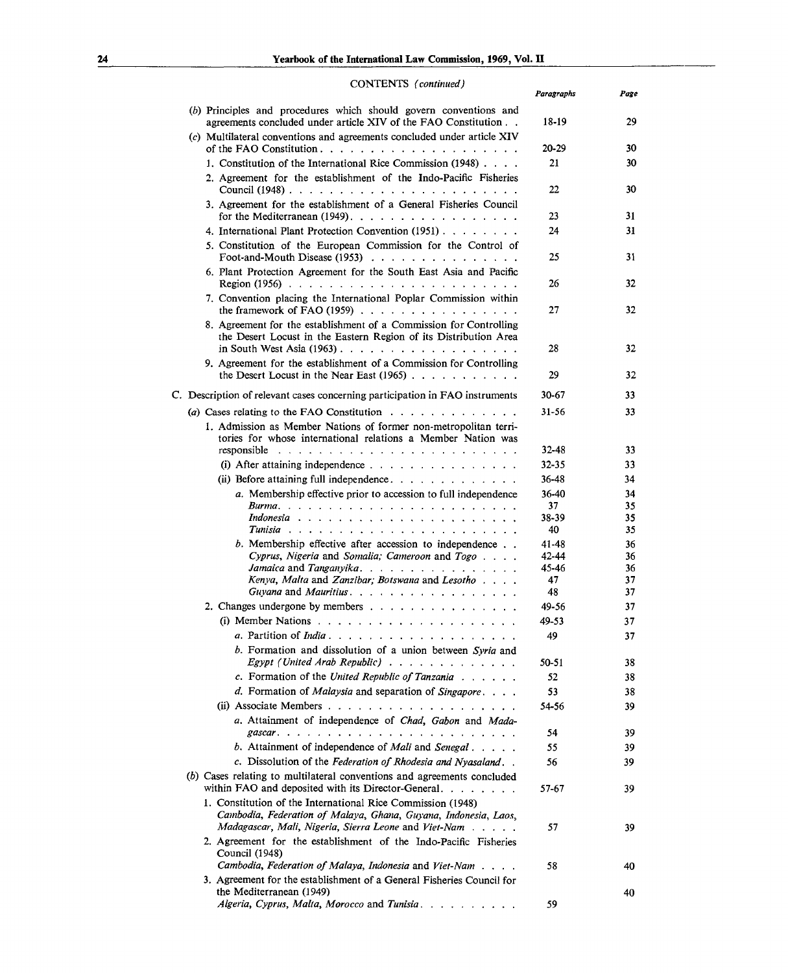<u> 1990 - Jan Barbarat, prim</u>

|  | CONTENTS (continued)                                                                                                                                  | Paragraphs  | Page     |
|--|-------------------------------------------------------------------------------------------------------------------------------------------------------|-------------|----------|
|  | (b) Principles and procedures which should govern conventions and<br>agreements concluded under article XIV of the FAO Constitution                   | 18-19       | 29       |
|  | (c) Multilateral conventions and agreements concluded under article XIV                                                                               |             |          |
|  | of the FAO Constitution                                                                                                                               | 20-29<br>21 | 30<br>30 |
|  | 1. Constitution of the International Rice Commission (1948)<br>2. Agreement for the establishment of the Indo-Pacific Fisheries                       |             |          |
|  |                                                                                                                                                       | 22          | 30       |
|  | 3. Agreement for the establishment of a General Fisheries Council                                                                                     | 23          | 31       |
|  | 4. International Plant Protection Convention (1951)                                                                                                   | 24          | 31       |
|  | 5. Constitution of the European Commission for the Control of<br>Foot-and-Mouth Disease (1953) $\ldots$ $\ldots$ $\ldots$ $\ldots$ $\ldots$ $\ldots$  | 25          | 31       |
|  | 6. Plant Protection Agreement for the South East Asia and Pacific                                                                                     |             |          |
|  |                                                                                                                                                       | 26          | 32       |
|  | 7. Convention placing the International Poplar Commission within<br>the framework of FAO (1959) $\ldots$ $\ldots$ $\ldots$ $\ldots$ $\ldots$ $\ldots$ | 27          | 32       |
|  | 8. Agreement for the establishment of a Commission for Controlling<br>the Desert Locust in the Eastern Region of its Distribution Area                |             |          |
|  |                                                                                                                                                       | 28          | 32       |
|  | 9. Agreement for the establishment of a Commission for Controlling                                                                                    |             |          |
|  | the Desert Locust in the Near East $(1965)$                                                                                                           | 29          | 32       |
|  | C. Description of relevant cases concerning participation in FAO instruments                                                                          | 30-67       | 33       |
|  |                                                                                                                                                       | $31 - 56$   | 33       |
|  | 1. Admission as Member Nations of former non-metropolitan terri-<br>tories for whose international relations a Member Nation was                      |             |          |
|  |                                                                                                                                                       | 32-48       | 33       |
|  |                                                                                                                                                       | 32-35       | 33       |
|  | (ii) Before attaining full independence.                                                                                                              | 36-48       | 34       |
|  | a. Membership effective prior to accession to full independence                                                                                       | 36-40       | 34       |
|  |                                                                                                                                                       | 37          | 35       |
|  | Indonesia                                                                                                                                             | 38-39<br>40 | 35<br>35 |
|  | b. Membership effective after accession to independence                                                                                               | 41-48       | 36       |
|  | Cyprus, Nigeria and Somalia; Cameroon and Togo                                                                                                        | 42-44       | 36       |
|  | Jamaica and Tanganyika.                                                                                                                               | 45-46       | 36       |
|  | Kenya, Malta and Zanzibar; Botswana and Lesotho                                                                                                       | 47          | 37       |
|  | Guyana and Mauritius.                                                                                                                                 | 48          | 37       |
|  |                                                                                                                                                       | 49-56       | 37       |
|  |                                                                                                                                                       | 49-53       | 37       |
|  | a. Partition of India<br>b. Formation and dissolution of a union between Syria and                                                                    | 49          | 37       |
|  | Egypt (United Arab Republic)                                                                                                                          | 50-51       | 38       |
|  | c. Formation of the United Republic of Tanzania                                                                                                       | 52          | 38       |
|  | d. Formation of <i>Malaysia</i> and separation of <i>Singapore</i> .                                                                                  | 53          | 38       |
|  |                                                                                                                                                       | 54-56       | 39       |
|  | a. Attainment of independence of Chad, Gabon and Mada-                                                                                                |             |          |
|  |                                                                                                                                                       | 54          | 39       |
|  | b. Attainment of independence of <i>Mali</i> and <i>Senegal</i> $\ldots$ ,                                                                            | 55          | 39       |
|  | c. Dissolution of the Federation of Rhodesia and Nyasaland. .                                                                                         | 56          | 39       |
|  | (b) Cases relating to multilateral conventions and agreements concluded<br>within FAO and deposited with its Director-General.                        | 57-67       | 39       |
|  | 1. Constitution of the International Rice Commission (1948)<br>Cambodia, Federation of Malaya, Ghana, Guyana, Indonesia, Laos,                        |             |          |
|  | Madagascar, Mali, Nigeria, Sierra Leone and Viet-Nam                                                                                                  | 57          | 39       |
|  | 2. Agreement for the establishment of the Indo-Pacific Fisheries                                                                                      |             |          |
|  | Council (1948)                                                                                                                                        |             |          |
|  | Cambodia, Federation of Malaya, Indonesia and Viet-Nam                                                                                                | 58          | 40       |
|  | 3. Agreement for the establishment of a General Fisheries Council for<br>the Mediterranean (1949)                                                     |             |          |
|  | Algeria, Cyprus, Malta, Morocco and Tunisia.                                                                                                          | 59          | 40       |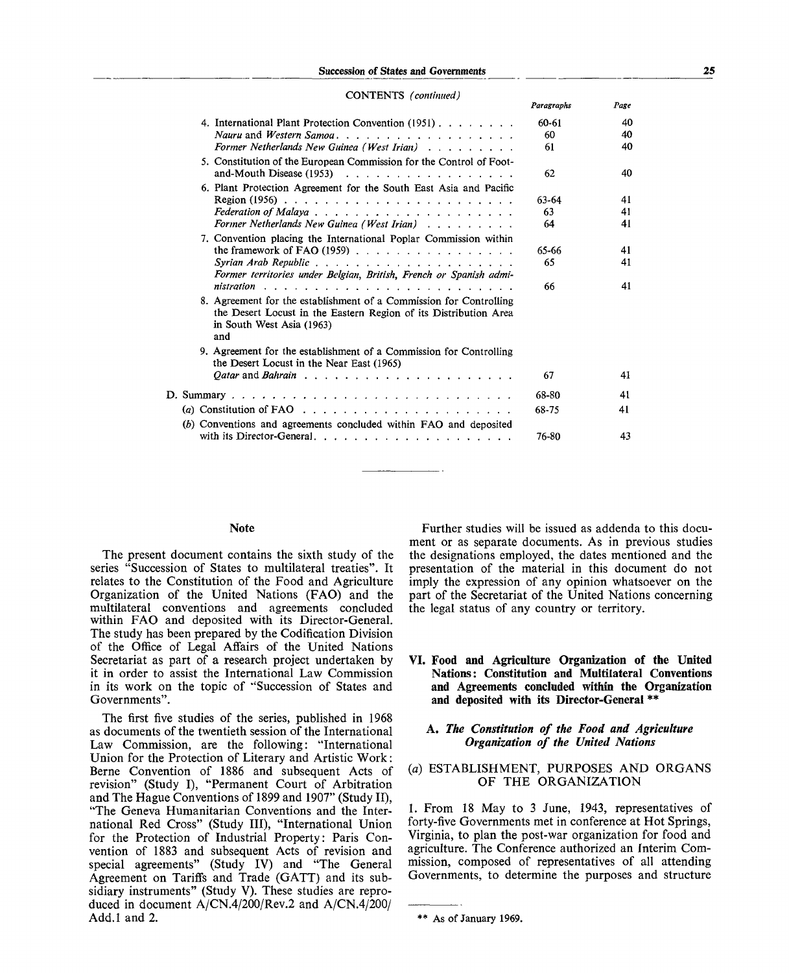#### **Succession of States and Governments 25**

| CONTENTS (continued)                                                                                                                                                       |            |      |
|----------------------------------------------------------------------------------------------------------------------------------------------------------------------------|------------|------|
|                                                                                                                                                                            | Paragraphs | Page |
| 4. International Plant Protection Convention (1951)                                                                                                                        | $60 - 61$  | 40   |
| Nauru and Western Samoa.                                                                                                                                                   | 60         | 40   |
| Former Netherlands New Guinea (West Irian)                                                                                                                                 | 61         | 40   |
| 5. Constitution of the European Commission for the Control of Foot-                                                                                                        |            |      |
|                                                                                                                                                                            | 62         | 40   |
| 6. Plant Protection Agreement for the South East Asia and Pacific                                                                                                          |            |      |
| Region (1956) $\ldots$ $\ldots$ $\ldots$ $\ldots$ $\ldots$ $\ldots$ $\ldots$ $\ldots$ $\ldots$                                                                             | 63-64      | 41   |
|                                                                                                                                                                            | 63         | 41   |
| Former Netherlands New Guinea (West Irian)                                                                                                                                 | 64         | 41   |
| 7. Convention placing the International Poplar Commission within                                                                                                           |            |      |
|                                                                                                                                                                            | 65-66      | 41   |
|                                                                                                                                                                            | 65         | 41   |
| Former territories under Belgian, British, French or Spanish admi-                                                                                                         |            |      |
|                                                                                                                                                                            | 66         | 41   |
| 8. Agreement for the establishment of a Commission for Controlling<br>the Desert Locust in the Eastern Region of its Distribution Area<br>in South West Asia (1963)<br>and |            |      |
| 9. Agreement for the establishment of a Commission for Controlling<br>the Desert Locust in the Near East (1965)                                                            |            |      |
|                                                                                                                                                                            | 67         | 41   |
|                                                                                                                                                                            | 68-80      | 41   |
|                                                                                                                                                                            | 68-75      | 41   |
| (b) Conventions and agreements concluded within FAO and deposited                                                                                                          |            |      |
| with its Director-General. $\ldots$ $\ldots$ $\ldots$ $\ldots$ $\ldots$ $\ldots$ $\ldots$ $\ldots$                                                                         | 76-80      | 43   |

with its Director-General.  $\ldots$   $\ldots$   $\ldots$   $\ldots$   $\ldots$   $\ldots$  76-80

# **Note**

The present document contains the sixth study of the series "Succession of States to multilateral treaties". It relates to the Constitution of the Food and Agriculture Organization of the United Nations (FAO) and the multilateral conventions and agreements concluded within FAO and deposited with its Director-General. The study has been prepared by the Codification Division of the Office of Legal Affairs of the United Nations Secretariat as part of a research project undertaken by it in order to assist the International Law Commission in its work on the topic of "Succession of States and Governments".

The first five studies of the series, published in 1968 as documents of the twentieth session of the International Law Commission, are the following: "International Union for the Protection of Literary and Artistic Work: Berne Convention of 1886 and subsequent Acts of revision" (Study I), "Permanent Court of Arbitration and The Hague Conventions of 1899 and 1907" (Study II), "The Geneva Humanitarian Conventions and the International Red Cross" (Study III), "International Union for the Protection of Industrial Property: Paris Convention of 1883 and subsequent Acts of revision and special agreements" (Study IV) and "The General Agreement on Tariffs and Trade (GATT) and its subsidiary instruments" (Study V). These studies are reproduced in document A/CN.4/200/Rev.2 and A/CN.4/200/ Add.l and 2.

Further studies will be issued as addenda to this document or as separate documents. As in previous studies the designations employed, the dates mentioned and the presentation of the material in this document do not imply the expression of any opinion whatsoever on the part of the Secretariat of the United Nations concerning the legal status of any country or territory.

# **VI. Food and Agriculture Organization of the United Nations: Constitution and Multilateral Conventions and Agreements concluded within the Organization and deposited with its Director-General** \*\*

# **A.** *The Constitution of the Food and Agriculture Organization of the United Nations*

# *(a)* ESTABLISHMENT, PURPOSES AND ORGANS OF THE ORGANIZATION

1. From 18 May to 3 June, 1943, representatives of forty-five Governments met in conference at Hot Springs, Virginia, to plan the post-war organization for food and agriculture. The Conference authorized an Interim Commission, composed of representatives of all attending Governments, to determine the purposes and structure

<sup>\*\*</sup> As of January 1969.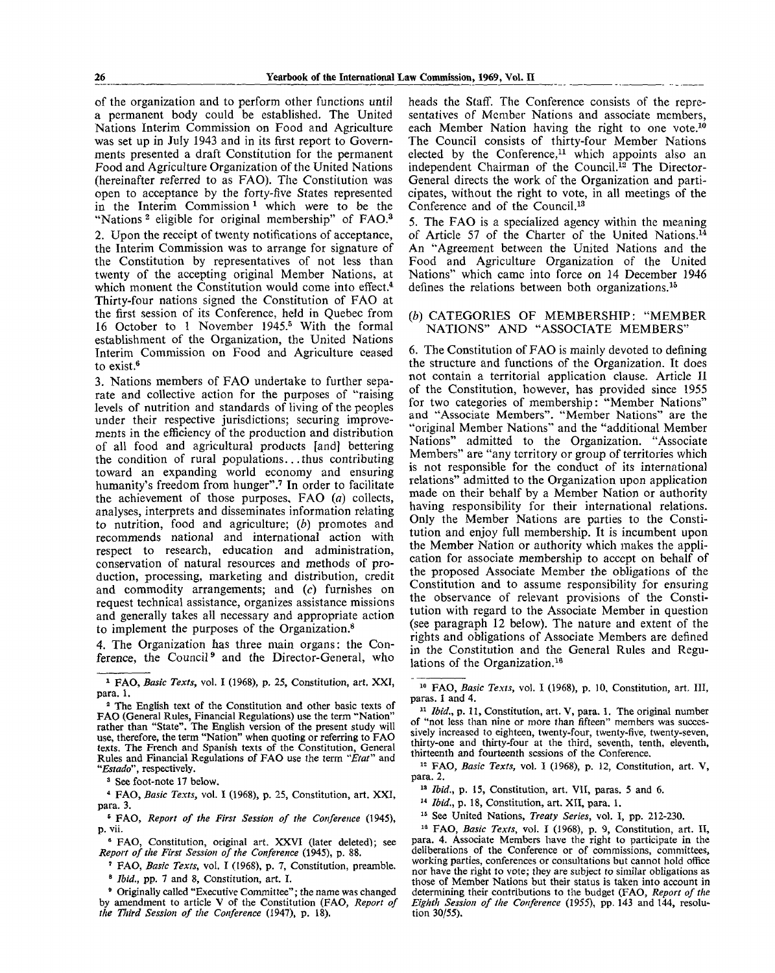of the organization and to perform other functions until a permanent body could be established. The United Nations Interim Commission on Food and Agriculture was set up in July 1943 and in its first report to Governments presented a draft Constitution for the permanent Food and Agriculture Organization of the United Nations (hereinafter referred to as FAO). The Constitution was open to acceptance by the forty-five States represented in the Interim Commission<sup>1</sup> which were to be the "Nations <sup>2</sup> eligible for original membership" of FAO.<sup>3</sup> 2. Upon the receipt of twenty notifications of acceptance, the Interim Commission was to arrange for signature of the Constitution by representatives of not less than twenty of the accepting original Member Nations, at which moment the Constitution would come into effect.<sup>4</sup> Thirty-four nations signed the Constitution of FAO at the first session of its Conference, held in Quebec from 16 October to 1 November 1945.<sup>5</sup> With the formal establishment of the Organization, the United Nations

Interim Commission on Food and Agriculture ceased

to exist.<sup>6</sup> 3. Nations members of FAO undertake to further separate and collective action for the purposes of "raising levels of nutrition and standards of living of the peoples under their respective jurisdictions; securing improvements in the efficiency of the production and distribution of all food and agricultural products [and] bettering the condition of rural populations.. .thus contributing toward an expanding world economy and ensuring humanity's freedom from hunger".<sup>7</sup> In order to facilitate the achievement of those purposes, FAO *(a)* collects, analyses, interprets and disseminates information relating to nutrition, food and agriculture; *(b)* promotes and recommends national and international action with respect to research, education and administration, conservation of natural resources and methods of production, processing, marketing and distribution, credit and commodity arrangements; and  $(c)$  furnishes on request technical assistance, organizes assistance missions and generally takes all necessary and appropriate action to implement the purposes of the Organization.<sup>8</sup>

4. The Organization has three main organs: the Conference, the Council<sup>9</sup> and the Director-General, who

3 See foot-note 17 below,

4 FAO, *Basic Texts,* vol. I (1968), p. 25, Constitution, art. XXI, para. 3.

6 FAO, *Report of the First Session of the Conference* (1945), p. vii.

heads the Staff. The Conference consists of the representatives of Member Nations and associate members, each Member Nation having the right to one vote.<sup>10</sup> The Council consists of thirty-four Member Nations elected by the Conference,<sup>11</sup> which appoints also an independent Chairman of the Council.<sup>12</sup> The Director-General directs the work of the Organization and participates, without the right to vote, in all meetings of the Conference and of the Council.<sup>13</sup>

5. The FAO is a specialized agency within the meaning of Article 57 of the Charter of the United Nations.<sup>11</sup> An "Agreement between the United Nations and the Food and Agriculture Organization of the United Nations" which came into force on 14 December 1946 defines the relations between both organizations.<sup>15</sup>

# *(b)* CATEGORIES OF MEMBERSHIP: "MEMBER NATIONS" AND "ASSOCIATE MEMBERS"

6. The Constitution of FAO is mainly devoted to defining the structure and functions of the Organization. It does not contain a territorial application clause. Article II of the Constitution, however, has provided since 1955 for two categories of membership: "Member Nations" and "Associate Members". "Member Nations" are the "original Member Nations" and the "additional Member Nations" admitted to the Organization. "Associate Members" are "any territory or group of territories which is not responsible for the conduct of its international relations" admitted to the Organization upon application made on their behalf by a Member Nation or authority having responsibility for their international relations. Only the Member Nations are parties to the Constitution and enjoy full membership. It is incumbent upon the Member Nation or authority which makes the application for associate membership to accept on behalf of the proposed Associate Member the obligations of the Constitution and to assume responsibility for ensuring the observance of relevant provisions of the Constitution with regard to the Associate Member in question (see paragraph 12 below). The nature and extent of the rights and obligations of Associate Members are defined in the Constitution and the General Rules and Regulations of the Organization.<sup>16</sup>

<sup>&</sup>lt;sup>1</sup> FAO, *Basic Texts*, vol. I (1968), p. 25, Constitution, art. XXI, para. 1.

<sup>2</sup> The English text of the Constitution and other basic texts of FAO (General Rules, Financial Regulations) use the term "Nation" rather than "State". The English version of the present study will use, therefore, the term "Nation" when quoting or referring to FAO texts. The French and Spanish texts of the Constitution, General Rules and Financial Regulations of FAO use the term "Etat" and *"Estado",* respectively.

<sup>6</sup> FAO, Constitution, original art. XXVI (later deleted); see *Report of the First Session of the Conference* (1945), p. 88.

<sup>7</sup> FAO, *Basic Texts,* vol. I (1968), p. 7, Constitution, preamble.

<sup>6</sup>  *Ibid.,* pp. 7 and 8, Constitution, art. I.

*<sup>&#</sup>x27;* Originally called "Executive Committee"; the name was changed by amendment to article V of the Constitution (FAO, *Report of the Third Session of the Conference* (1947), p. 18).

<sup>10</sup> FAO, *Basic Texts,* vol. I (1968), p. 10, Constitution, art. Ill, paras. I and 4.

<sup>&</sup>lt;sup>11</sup> *Ibid.*, p. 11, Constitution, art. V, para. 1. The original number of "not less than nine or more than fifteen" members was successively increased to eighteen, twenty-four, twenty-five, twenty-seven, thirty-one and thirty-four at the third, seventh, tenth, eleventh, thirteenth and fourteenth sessions of the Conference.

<sup>&</sup>lt;sup>12</sup> FAO, *Basic Texts*, vol. I (1968), p. 12, Constitution, art. V, para. 2.

<sup>13</sup>  *Ibid.,* p. 15, Constitution, art. VII, paras. 5 and 6.

<sup>14</sup>  *Ibid.,* p. 18, Constitution, art. XII, para. 1.

<sup>15</sup> See United Nations, *Treaty Series,* vol. I, pp. 212-230.

<sup>&</sup>lt;sup>16</sup> FAO, *Basic Texts*, vol. I (1968), p. 9, Constitution, art. II, para. 4. Associate Members have the right to participate in the deliberations of the Conference or of commissions, committees, working parties, conferences or consultations but cannot hold office nor have the right to vote; they are subject to similar obligations as those of Member Nations but their status is taken into account in determining their contributions to the budget (FAO, *Report of the Eighth Session of the Conference* (1955), pp. 143 and 144, resolution 30/55).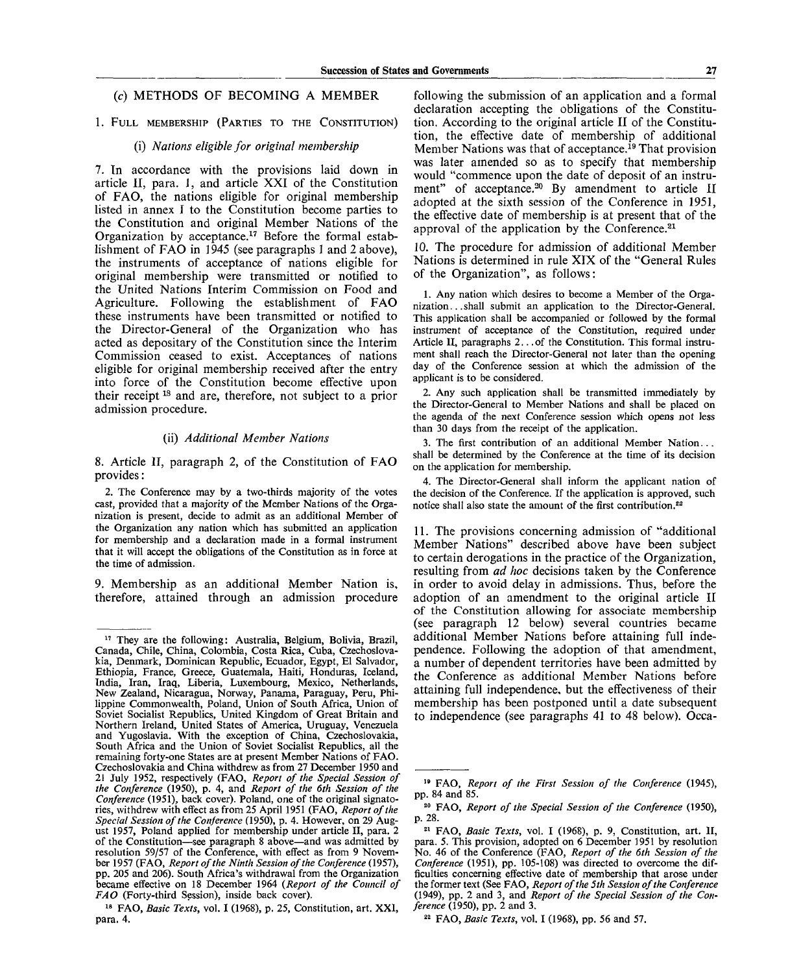# (c) METHODS OF BECOMING A MEMBER

## I. FULL MEMBERSHIP (PARTIES TO THE CONSTITUTION)

## (i) *Nations eligible for original membership*

7. In accordance with the provisions laid down in article II, para. 1, and article XXI of the Constitution of FAO, the nations eligible for original membership listed in annex I to the Constitution become parties to the Constitution and original Member Nations of the Organization by acceptance.<sup>17</sup> Before the formal establishment of FAO in 1945 (see paragraphs 1 and 2 above), the instruments of acceptance of nations eligible for original membership were transmitted or notified to the United Nations Interim Commission on Food and Agriculture. Following the establishment of FAO these instruments have been transmitted or notified to the Director-General of the Organization who has acted as depositary of the Constitution since the Interim Commission ceased to exist. Acceptances of nations eligible for original membership received after the entry into force of the Constitution become effective upon their receipt <sup>18</sup> and are, therefore, not subject to a prior admission procedure.

#### (ii) *Additional Member Nations*

8. Article II, paragraph 2, of the Constitution of FAO provides:

2. The Conference may by a two-thirds majority of the votes cast, provided that a majority of the Member Nations of the Organization is present, decide to admit as an additional Member of the Organization any nation which has submitted an application for membership and a declaration made in a formal instrument that it will accept the obligations of the Constitution as in force at the time of admission.

9. Membership as an additional Member Nation is, therefore, attained through an admission procedure

18 FAO, *Basic Texts,* vol. I (1968), p. 25, Constitution, art. XXI, para. 4.

following the submission of an application and a formal declaration accepting the obligations of the Constitution. According to the original article II of the Constitution, the effective date of membership of additional Member Nations was that of acceptance.<sup>19</sup> That provision was later amended so as to specify that membership would "commence upon the date of deposit of an instrument" of acceptance.<sup>20</sup> By amendment to article II adopted at the sixth session of the Conference in 1951, the effective date of membership is at present that of the approval of the application by the Conference.<sup>21</sup>

10. The procedure for admission of additional Member Nations is determined in rule XIX of the "General Rules of the Organization", as follows:

1. Any nation which desires to become a Member of the Organization. . .shall submit an application to the Director-General. This application shall be accompanied or followed by the formal instrument of acceptance of the Constitution, required under Article II, paragraphs 2.. . of the Constitution. This formal instrument shall reach the Director-General not later than the opening day of the Conference session at which the admission of the applicant is to be considered.

2. Any such application shall be transmitted immediately by the Director-General to Member Nations and shall be placed on the agenda of the next Conference session which opens not less than 30 days from the receipt of the application.

3. The first contribution of an additional Member Nation... shall be determined by the Conference at the time of its decision on the application for membership.

4. The Director-General shall inform the applicant nation of the decision of the Conference. If the application is approved, such notice shall also state the amount of the first contribution.<sup>22</sup>

11. The provisions concerning admission of "additional Member Nations" described above have been subject to certain derogations in the practice of the Organization, resulting from *ad hoc* decisions taken by the Conference in order to avoid delay in admissions. Thus, before the adoption of an amendment to the original article II of the Constitution allowing for associate membership (see paragraph 12 below) several countries became additional Member Nations before attaining full independence. Following the adoption of that amendment, a number of dependent territories have been admitted by the Conference as additional Member Nations before attaining full independence, but the effectiveness of their membership has been postponed until a date subsequent to independence (see paragraphs 41 to 48 below). Occa-

<sup>22</sup> FAO, *Basic Texts*, vol. I (1968), pp. 56 and 57.

<sup>&</sup>lt;sup>17</sup> They are the following: Australia, Belgium, Bolivia, Brazil, Canada, Chile, China, Colombia, Costa Rica, Cuba, Czechoslovakia, Denmark, Dominican Republic, Ecuador, Egypt, El Salvador, Ethiopia, France, Greece, Guatemala, Haiti, Honduras, Iceland, India, Iran, Iraq, Liberia, Luxembourg, Mexico, Netherlands, New Zealand, Nicaragua, Norway, Panama, Paraguay, Peru, Philippine Commonwealth, Poland, Union of South Africa, Union of Soviet Socialist Republics, United Kingdom of Great Britain and Northern Ireland, United States of America, Uruguay, Venezuela and Yugoslavia. With the exception of China, Czechoslovakia, South Africa and the Union of Soviet Socialist Republics, all the remaining forty-one States are at present Member Nations of FAO. Czechoslovakia and China withdrew as from 27 December 1950 and 21 July 1952, respectively (FAO, *Report of the Special Session of the Conference* (1950), p. 4, and *Report of the 6th Session of the Conference* (1951), back cover). Poland, one of the original signatories, withdrew with effect as from 25 April 1951 (FAO, *Report of the Special Session of the Conference* (1950), p. 4. However, on 29 August 1957, Poland applied for membership under article II, para. 2 of the Constitution—see paragraph 8 above—and was admitted by resolution 59/57 of the Conference, with effect as from 9 November 1957 (FAO, *Report of the Ninth Session of the Conference* (1957), pp. 205 and 206). South Africa's withdrawal from the Organization became effective on 18 December 1964 *(Report of the Council of FAO* (Forty-third Session), inside back cover).

<sup>19</sup> FAO, *Report of the First Session of the Conference* (1945), pp. 84 and 85.

<sup>&</sup>lt;sup>20</sup> FAO, Report of the Special Session of the Conference (1950), p. 28.

<sup>21</sup> FAO, *Basic Texts,* vol. I (1968), p. 9, Constitution, art. II, para. 5. This provision, adopted on 6 December 1951 by resolution No. 46 of the Conference (FAO, *Report of the 6th Session of the Conference* (1951), pp. 105-108) was directed to overcome the difficulties concerning effective date of membership that arose under the former text (See FAO, *Report of the 5 th Session of the Conference* (1949), pp. 2 and 3, and *Report of the Special Session of the Conference* (1950), pp. 2 and 3.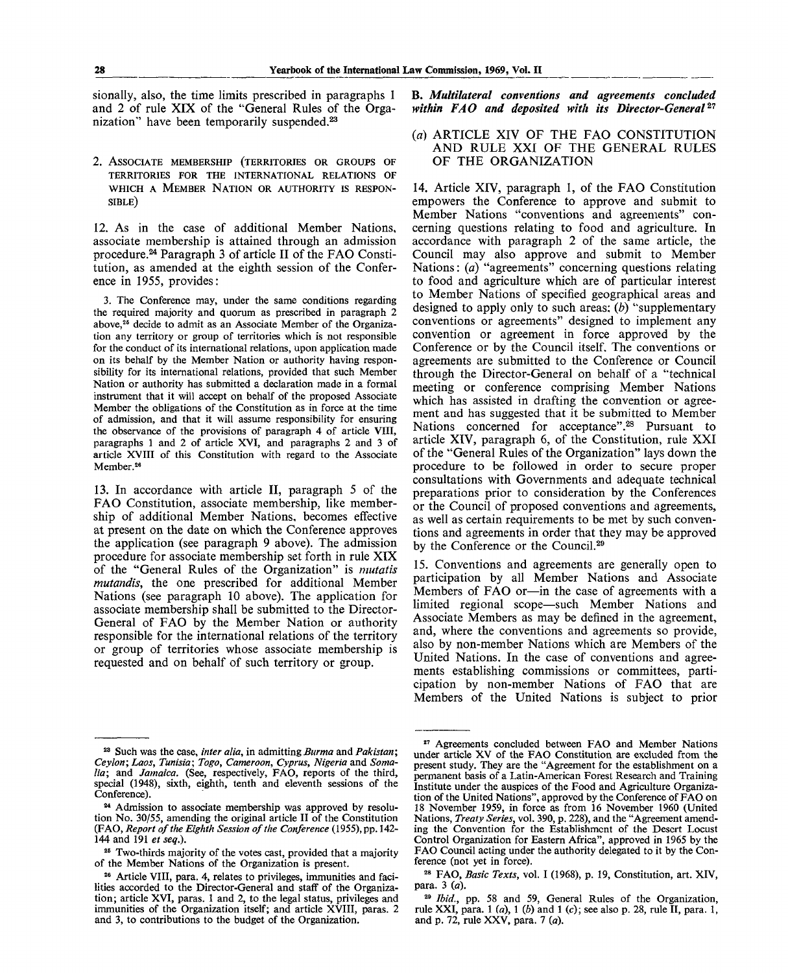sionally, also, the time limits prescribed in paragraphs 1 and 2 of rule XIX of the "General Rules of the Organization" have been temporarily suspended.<sup>23</sup>

2. ASSOCIATE MEMBERSHIP (TERRITORIES OR GROUPS OF TERRITORIES FOR THE INTERNATIONAL RELATIONS OF WHICH A MEMBER NATION OR AUTHORITY IS RESPON-SIBLE)

12. As in the case of additional Member Nations, associate membership is attained through an admission procedure.<sup>24</sup> Paragraph 3 of article II of the FAO Constitution, as amended at the eighth session of the Conference in 1955, provides:

3. The Conference may, under the same conditions regarding the required majority and quorum as prescribed in paragraph 2 above,<sup>26</sup> decide to admit as an Associate Member of the Organization any territory or group of territories which is not responsible for the conduct of its international relations, upon application made on its behalf by the Member Nation or authority having responsibility for its international relations, provided that such Member Nation or authority has submitted a declaration made in a formal instrument that it will accept on behalf of the proposed Associate Member the obligations of the Constitution as in force at the time of admission, and that it will assume responsibility for ensuring the observance of the provisions of paragraph 4 of article VIII, paragraphs 1 and 2 of article XVI, and paragraphs 2 and 3 of article XVIII of this Constitution with regard to the Associate Member.<sup>26</sup>

13. In accordance with article II, paragraph 5 of the FAO Constitution, associate membership, like membership of additional Member Nations, becomes effective at present on the date on which the Conference approves the application (see paragraph 9 above). The admission procedure for associate membership set forth in rule XIX of the "General Rules of the Organization" is *mutatis mutandis,* the one prescribed for additional Member Nations (see paragraph 10 above). The application for associate membership shall be submitted to the Director-General of FAO by the Member Nation or authority responsible for the international relations of the territory or group of territories whose associate membership is requested and on behalf of such territory or group.

B. *Multilateral conventions and agreements concluded within FAO and deposited with its Director-General<sup>2</sup> " 7*

# *(a)* ARTICLE XIV OF THE FAO CONSTITUTION AND RULE XXI OF THE GENERAL RULES OF THE ORGANIZATION

14. Article XIV, paragraph 1, of the FAO Constitution empowers the Conference to approve and submit to Member Nations "conventions and agreements" concerning questions relating to food and agriculture. In accordance with paragraph 2 of the same article, the Council may also approve and submit to Member Nations: *(a)* "agreements" concerning questions relating to food and agriculture which are of particular interest to Member Nations of specified geographical areas and designed to apply only to such areas: *(b)* "supplementary conventions or agreements" designed to implement any convention or agreement in force approved by the Conference or by the Council itself. The conventions or agreements are submitted to the Conference or Council through the Director-General on behalf of a "technical meeting or conference comprising Member Nations which has assisted in drafting the convention or agreement and has suggested that it be submitted to Member Nations concerned for acceptance".<sup>23</sup> Pursuant to article XIV, paragraph 6, of the Constitution, rule XXI of the "General Rules of the Organization" lays down the procedure to be followed in order to secure proper consultations with Governments and adequate technical preparations prior to consideration by the Conferences or the Council of proposed conventions and agreements, as well as certain requirements to be met by such conventions and agreements in order that they may be approved by the Conference or the Council.<sup>29</sup>

15. Conventions and agreements are generally open to participation by all Member Nations and Associate Members of FAO or—in the case of agreements with a limited regional scope—such Member Nations and Associate Members as may be defined in the agreement, and, where the conventions and agreements so provide, also by non-member Nations which are Members of the United Nations. In the case of conventions and agreements establishing commissions or committees, participation by non-member Nations of FAO that are Members of the United Nations is subject to prior

<sup>23</sup> Such was the case, *inter alia,* in admitting *Burma* and *Pakistan; Ceylon; Laos, Tunisia; Togo, Cameroon, Cyprus, Nigeria* and *Somalia;* and *Jamaica.* (See, respectively, FAO, reports of the third, special (1948), sixth, eighth, tenth and eleventh sessions of the Conference).

<sup>&</sup>lt;sup>24</sup> Admission to associate membership was approved by resolution No. 30/55, amending the original article II of the Constitution (FAO, *Report of the Eighth Session of the Conference* (1955), pp. 142- 144 and 191 *et seq.).*

<sup>&</sup>lt;sup>25</sup> Two-thirds majority of the votes cast, provided that a majority of the Member Nations of the Organization is present.

<sup>26</sup> Article VIII, para. 4, relates to privileges, immunities and facilities accorded to the Director-General and staff of the Organization; article XVI, paras. 1 and 2, to the legal status, privileges and immunities of the Organization itself; and article XVIII, paras. 2 and 3, to contributions to the budget of the Organization.

<sup>27</sup> Agreements concluded between FAO and Member Nations under article XV of the FAO Constitution are excluded from the present study. They are the "Agreement for the establishment on a permanent basis of a Latin-American Forest Research and Training Institute under the auspices of the Food and Agriculture Organization of the United Nations", approved by the Conference of FAO on 18 November 1959, in force as from 16 November 1960 (United Nations, *Treaty Series,* vol. 390, p. 228), and the "Agreement amending the Convention for the Establishment of the Desert Locust Control Organization for Eastern Africa", approved in 1965 by the FAO Council acting under the authority delegated to it by the Conference (not yet in force).

<sup>&</sup>lt;sup>28</sup> FAO, *Basic Texts*, vol. I (1968), p. 19, Constitution, art. XIV, para. 3 *(a).*

<sup>&</sup>lt;sup>29</sup> Ibid., pp. 58 and 59, General Rules of the Organization, rule XXI, para. 1 *(a),* 1 *(b)* and 1 (c); see also p. 28, rule II, para. 1, and p. 72, rule XXV, para. 7 *(a).*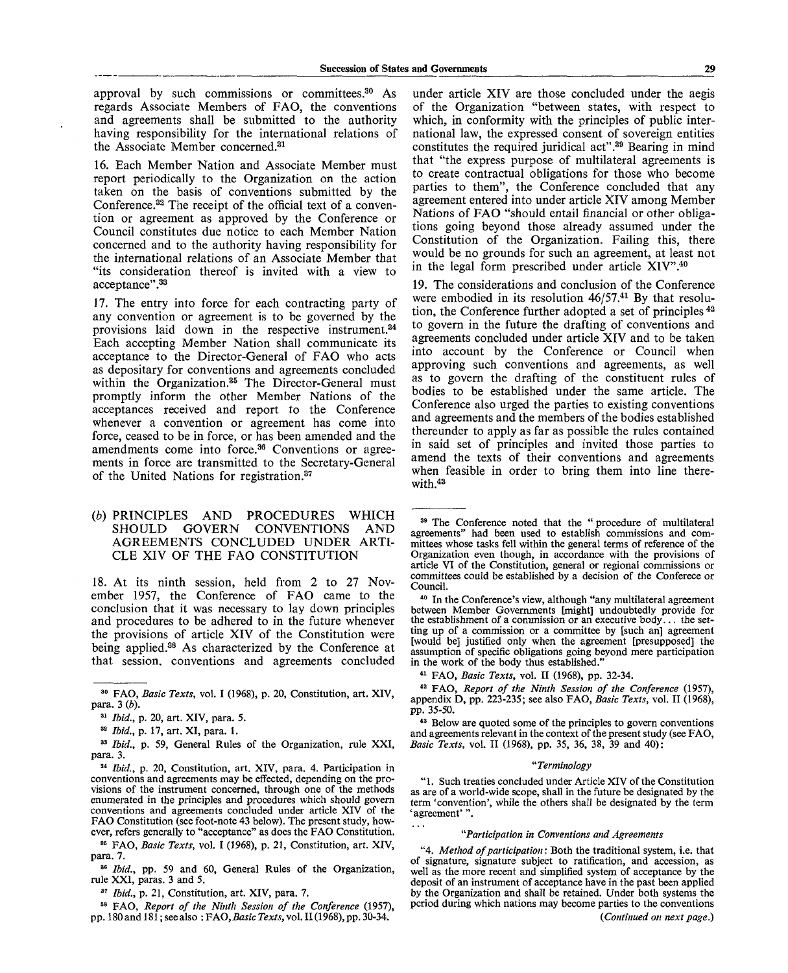approval by such commissions or committees.<sup>30</sup> As regards Associate Members of FAO, the conventions and agreements shall be submitted to the authority having responsibility for the international relations of the Associate Member concerned.<sup>31</sup>

16. Each Member Nation and Associate Member must report periodically to the Organization on the action taken on the basis of conventions submitted by the Conference.<sup>32</sup> The receipt of the official text of a convention or agreement as approved by the Conference or Council constitutes due notice to each Member Nation concerned and to the authority having responsibility for the international relations of an Associate Member that "its consideration thereof is invited with a view to acceptance".<sup>33</sup>

17. The entry into force for each contracting party of any convention or agreement is to be governed by the provisions laid down in the respective instrument.<sup>34</sup> Each accepting Member Nation shall communicate its acceptance to the Director-General of FAO who acts as depositary for conventions and agreements concluded within the Organization.<sup>35</sup> The Director-General must promptly inform the other Member Nations of the acceptances received and report to the Conference whenever a convention or agreement has come into force, ceased to be in force, or has been amended and the amendments come into force.<sup>36</sup> Conventions or agreements in force are transmitted to the Secretary-General of the United Nations for registration.<sup>37</sup>

# *(b)* PRINCIPLES AND PROCEDURES WHICH SHOULD GOVERN CONVENTIONS AND AGREEMENTS CONCLUDED UNDER ARTI-CLE XIV OF THE FAO CONSTITUTION

18. At its ninth session, held from 2 to 27 November 1957, the Conference of FAO came to the conclusion that it was necessary to lay down principles and procedures to be adhered to in the future whenever the provisions of article XIV of the Constitution were being applied.<sup>38</sup> As characterized by the Conference at that session, conventions and agreements concluded

36 FAO, *Basic Texts,* vol. I (1968), p. 21, Constitution, art. XIV, para. 7.

<sup>36</sup> *Ibid.*, pp. 59 and 60, General Rules of the Organization, rule XXI, paras. 3 and 5.

37  *Ibid.,* p. 21, Constitution, art. XIV, para. 7.

38 FAO, *Report of the Ninth Session of the Conference* (1957), pp. 180 and 181; see also *:FAO,BasicTexts,* vol. II (1968), pp. 30-34.

under article XIV are those concluded under the aegis of the Organization "between states, with respect to which, in conformity with the principles of public international law, the expressed consent of sovereign entities constitutes the required juridical act".<sup>39</sup> Bearing in mind that "the express purpose of multilateral agreements is to create contractual obligations for those who become parties to them", the Conference concluded that any agreement entered into under article XIV among Member Nations of FAO "should entail financial or other obligations going beyond those already assumed under the Constitution of the Organization. Failing this, there would be no grounds for such an agreement, at least not in the legal form prescribed under article XIV".<sup>40</sup>

19. The considerations and conclusion of the Conference were embodied in its resolution 46/57.<sup>41</sup> By that resolution, the Conference further adopted a set of principles<sup>42</sup> to govern in the future the drafting of conventions and agreements concluded under article XIV and to be taken into account by the Conference or Council when approving such conventions and agreements, as well as to govern the drafting of the constituent rules of bodies to be established under the same article. The Conference also urged the parties to existing conventions and agreements and the members of the bodies established thereunder to apply as far as possible the rules contained in said set of principles and invited those parties to amend the texts of their conventions and agreements when feasible in order to bring them into line therewith.<sup>43</sup>

<sup>40</sup> In the Conference's view, although "any multilateral agreement between Member Governments [might] undoubtedly provide for the establishment of a commission or an executive body... the setting up of a commission or a committee by [such an] agreement [would be] justified only when the agreement [presupposed] the assumption of specific obligations going beyond mere participation in the work of the body thus established.

41 FAO, *Basic Texts,* vol. II (1968), pp. 32-34.

42 FAO, *Report of the Ninth Session of the Conference* (1957), appendix D, pp. 223-235; see also FAO, *Basic Texts,* vol. II (1968), pp. 35-50.

43 Below are quoted some of the principles to govern conventions and agreements relevant in the context of the present study (see FAO, *Basic Texts,* vol. II (1968), pp. 35, 36, 38, 39 and 40):

#### *"Terminology*

"1. Such treaties concluded under Article XIV of the Constitution as are of a world-wide scope, shall in the future be designated by the term 'convention', while the others shall be designated by the term 'agreement' ".

#### *"Participation in Conventions and Agreements*

"4. *Method of participation:* Both the traditional system, i.e. that of signature, signature subject to ratification, and accession, as well as the more recent and simplified system of acceptance by the deposit of an instrument of acceptance have in the past been applied by the Organization and shall be retained. Under both systems the period during which nations may become parties to the conventions

*(Continued on next page.)*

<sup>80</sup> FAO, *Basic Texts,* vol. I (1968), p. 20, Constitution, art. XIV, para.  $3(b)$ .

<sup>81</sup>  *Ibid.,* p. 20, art. XIV, para. 5.

<sup>38</sup>  *Ibid.,* p. 17, art. XI, para. 1.

<sup>33</sup>  *Ibid.,* p. 59, General Rules of the Organization, rule XXI, para. 3.

<sup>31</sup>  *Ibid.,* p. 20, Constitution, art. XIV, para. 4. Participation in conventions and agreements may be effected, depending on the provisions of the instrument concerned, through one of the methods enumerated in the principles and procedures which should govern conventions and agreements concluded under article XIV of the FAO Constitution (see foot-note 43 below). The present study, however, refers generally to "acceptance" as does the FAO Constitution.

<sup>39</sup> The Conference noted that the " procedure of multilateral agreements" had been used to establish commissions and committees whose tasks fell within the general terms of reference of the Organization even though, in accordance with the provisions of article VI of the Constitution, general or regional commissions or committees could be established by a decision of the Conferece or Council.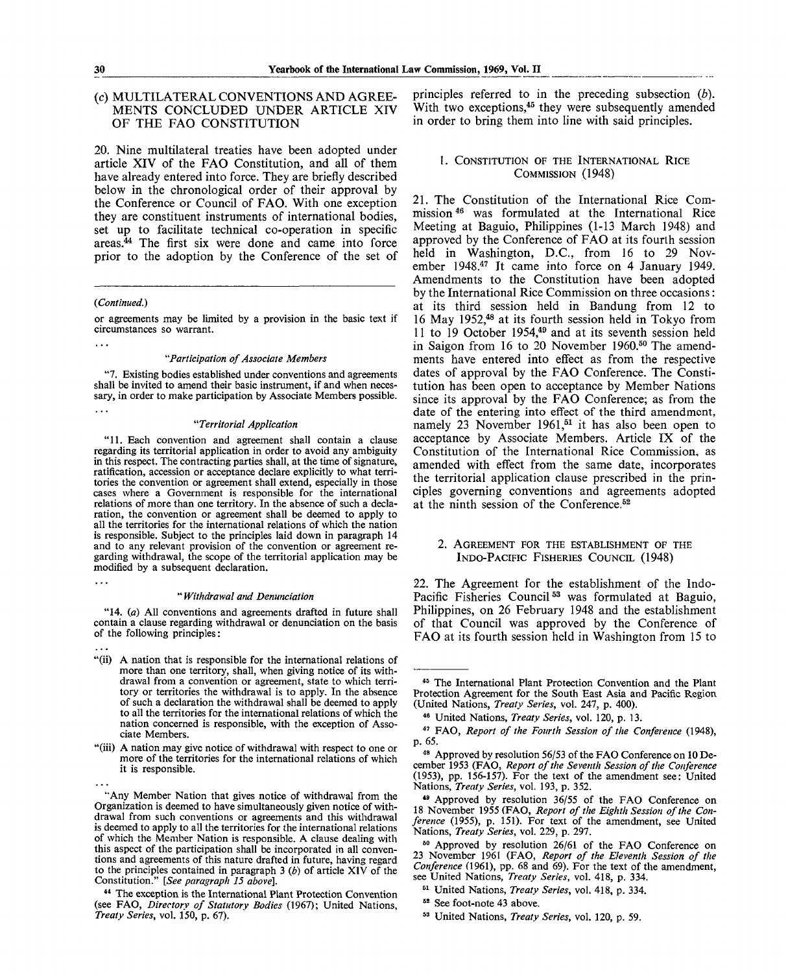# (c) MULTILATERAL CONVENTIONS AND AGREE-MENTS CONCLUDED UNDER ARTICLE XIV OF THE FAO CONSTITUTION

20. Nine multilateral treaties have been adopted under article XIV of the FAO Constitution, and all of them have already entered into force. They are briefly described below in the chronological order of their approval by the Conference or Council of FAO. With one exception they are constituent instruments of international bodies, set up to facilitate technical co-operation in specific areas.<sup>44</sup> The first six were done and came into force prior to the adoption by the Conference of the set of

#### *(Continued.)*

or agreements may be limited by a provision in the basic text if circumstances so warrant.

#### $\ddotsc$

 $\ddotsc$ 

#### *"Participation of Associate Members*

"7. Existing bodies established under conventions and agreements shall be invited to amend their basic instrument, if and when necessary, in order to make participation by Associate Members possible.

#### *"Territorial Application*

"11. Each convention and agreement shall contain a clause regarding its territorial application in order to avoid any ambiguity in this respect. The contracting parties shall, at the time of signature, ratification, accession or acceptance declare explicitly to what territories the convention or agreement shall extend, especially in those cases where a Government is responsible for the international relations of more than one territory. In the absence of such a declaration, the convention or agreement shall be deemed to apply to all the territories for the international relations of which the nation is responsible. Subject to the principles laid down in paragraph 14 and to any relevant provision of the convention or agreement regarding withdrawal, the scope of the territorial application may be modified by a subsequent declaration.

#### " *Withdrawal and Denunciation*

"14. *(a)* All conventions and agreements drafted in future shall contain a clause regarding withdrawal or denunciation on the basis of the following principles:

- "(ii) A nation that is responsible for the international relations of more than one territory, shall, when giving notice of its withdrawal from a convention or agreement, state to which territory or territories the withdrawal is to apply. In the absence of such a declaration the withdrawal shall be deemed to apply to all the territories for the international relations of which the nation concerned is responsible, with the exception of Associate Members.
	- "(iii) A nation may give notice of withdrawal with respect to one or more of the territories for the international relations of which it is responsible.

"Any Member Nation that gives notice of withdrawal from the Organization is deemed to have simultaneously given notice of withdrawal from such conventions or agreements and this withdrawal is deemed to apply to all the territories for the international relations of which the Member Nation is responsible. A clause dealing with this aspect of the participation shall be incorporated in all conventions and agreements of this nature drafted in future, having regard to the principles contained in paragraph 3 *(b)* of article XIV of the Constitution." *[See paragraph 15 above].*

44 The exception is the International Plant Protection Convention (see FAO, *Directory of Statutory Bodies* (1967); United Nations, *Treaty Series,* vol. 150, p. 67).

principles referred to in the preceding subsection *(b).* With two exceptions,<sup>45</sup> they were subsequently amended in order to bring them into line with said principles.

# 1. CONSTITUTION OF THE INTERNATIONAL RICE COMMISSION (1948)

21. The Constitution of the International Rice Commission<sup>46</sup> was formulated at the International Rice Meeting at Baguio, Philippines (1-13 March 1948) and approved by the Conference of FAO at its fourth session held in Washington, D.C., from 16 to 29 November 1948.<sup>47</sup> It came into force on 4 January 1949. Amendments to the Constitution have been adopted by the International Rice Commission on three occasions: at its third session held in Bandung from 12 to 16 May 1952,<sup>48</sup> at its fourth session held in Tokyo from 11 to 19 October 1954,<sup>49</sup> and at its seventh session held in Saigon from 16 to 20 November 1960.<sup>50</sup> The amendments have entered into effect as from the respective dates of approval by the FAO Conference. The Constitution has been open to acceptance by Member Nations since its approval by the FAO Conference; as from the date of the entering into effect of the third amendment, namely 23 November 1961,<sup>51</sup> it has also been open to acceptance by Associate Members. Article IX of the Constitution of the International Rice Commission, as amended with effect from the same date, incorporates the territorial application clause prescribed in the principles governing conventions and agreements adopted at the ninth session of the Conference.<sup>52</sup>

#### 2. AGREEMENT FOR THE ESTABLISHMENT OF THE INDO-PACIFIC FISHERIES COUNCIL (1948)

22. The Agreement for the establishment of the Indo-Pacific Fisheries Council<sup>53</sup> was formulated at Baguio, Philippines, on 26 February 1948 and the establishment of that Council was approved by the Conference of FAO at its fourth session held in Washington from 15 to

53 United Nations, *Treaty Series,* vol. 120, p. 59.

<sup>45</sup> The International Plant Protection Convention and the Plant Protection Agreement for the South East Asia and Pacific Region (United Nations, *Treaty Series,* vol. 247, p. 400).

<sup>46</sup> United Nations, *Treaty Series,* vol. 120, p. 13.

*<sup>&</sup>quot;* FAO, *Report of the Fourth Session of the Conference* (1948), p. 65.

<sup>18</sup> Approved by resolution 56/53 of the FAO Conference on 10 December 1953 (FAO, *Report of the Seventh Session of the Conference* (1953), pp. 156-157). For the text of the amendment see: United Nations, *Treaty Series,* vol. 193, p. 352.

<sup>49</sup> Approved by resolution 36/55 of the FAO Conference on 18 November 1955 (FAO, *Report of the Eighth Session of the Conference* (1955), p. 151). For text of the amendment, see United Nations, *Treaty Series,* vol. 229, p. 297.

<sup>60</sup> Approved by resolution 26/61 of the FAO Conference on 23 November 1961 (FAO, *Report of the Eleventh Session of the Conference* (1961), pp. 68 and 69). For the text of the amendment, see United Nations, *Treaty Series,* vol. 418, p. 334.

<sup>61</sup> United Nations, *Treaty Series,* vol. 418, p. 334.

<sup>&</sup>lt;sup>52</sup> See foot-note 43 above.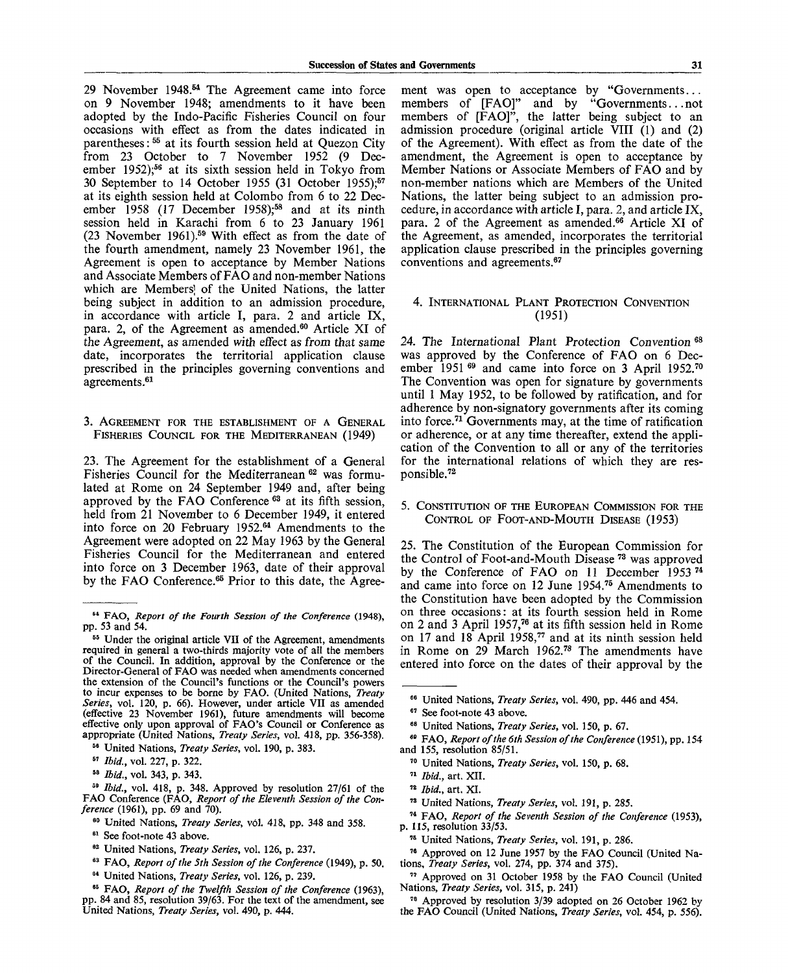29 November 1948.<sup>54</sup> The Agreement came into force on 9 November 1948; amendments to it have been adopted by the Indo-Pacific Fisheries Council on four occasions with effect as from the dates indicated in parentheses:  $55$  at its fourth session held at Quezon City from 23 October to 7 November 1952 (9 December 1952);<sup>56</sup> at its sixth session held in Tokyo from 30 September to 14 October 1955 (31 October 1955);<sup>57</sup> at its eighth session held at Colombo from 6 to 22 December 1958 (17 December 1958);<sup>58</sup> and at its ninth session held in Karachi from 6 to 23 January 1961 (23 November 1961).<sup>59</sup> With effect as from the date of the fourth amendment, namely 23 November 1961, the Agreement is open to acceptance by Member Nations and Associate Members of FAO and non-member Nations which are Members' of the United Nations, the latter being subject in addition to an admission procedure. in accordance with article I, para. 2 and article IX, para. 2, of the Agreement as amended.<sup>60</sup> Article XI of the Agreement, as amended with effect as from that same date, incorporates the territorial application clause prescribed in the principles governing conventions and agreements.<sup>61</sup>

3. AGREEMENT FOR THE ESTABLISHMENT OF A GENERAL FISHERIES COUNCIL FOR THE MEDITERRANEAN (1949)

23. The Agreement for the establishment of a General Fisheries Council for the Mediterranean<sup>62</sup> was formulated at Rome on 24 September 1949 and, after being approved by the FAO Conference  $63$  at its fifth session, held from 21 November to 6 December 1949, it entered into force on 20 February 1952.<sup>64</sup> Amendments to the Agreement were adopted on 22 May 1963 by the General Fisheries Council for the Mediterranean and entered into force on 3 December 1963, date of their approval by the FAO Conference.<sup>65</sup> Prior to this date, the Agree-

68 United Nations, *Treaty Series,* vol. 190, p. 383.

- 62 United Nations, *Treaty Series,* vol. 126, p. 237.
- 63 FAO, *Report of the 5th Session of the Conference* (1949), p. 50.
- 01 United Nations, *Treaty Series,* vol. 126, p. 239.
- <sup>65</sup> FAO, Report of the Twelfth Session of the Conference (1963),

pp. 84 and 85, resolution 39/63. For the text of the amendment, see United Nations, *Treaty Series,* vol. 490, p. 444.

ment was open to acceptance by "Governments... members of [FAO]" and by "Governments... not members of [FAO]", the latter being subject to an admission procedure (original article VIII (1) and (2) of the Agreement). With effect as from the date of the amendment, the Agreement is open to acceptance by Member Nations or Associate Members of FAO and by non-member nations which are Members of the United Nations, the latter being subject to an admission procedure, in accordance with article I, para. 2, and article IX, para. 2 of the Agreement as amended.<sup>66</sup> Article XI of the Agreement, as amended, incorporates the territorial application clause prescribed in the principles governing conventions and agreements.<sup>67</sup>

#### 4. INTERNATIONAL PLANT PROTECTION CONVENTION (1951)

24. The International Plant Protection Convention<sup>68</sup> was approved by the Conference of FAO on 6 December 1951<sup>69</sup> and came into force on 3 April 1952.<sup>70</sup> The Convention was open for signature by governments until 1 May 1952, to be followed by ratification, and for adherence by non-signatory governments after its coming into force.<sup>71</sup> Governments may, at the time of ratification or adherence, or at any time thereafter, extend the application of the Convention to all or any of the territories for the international relations of which they are responsible.<sup>72</sup>

5. CONSTITUTION OF THE EUROPEAN COMMISSION FOR THE CONTROL OF FOOT-AND-MOUTH DISEASE (1953)

25. The Constitution of the European Commission for the Control of Foot-and-Mouth Disease<sup>73</sup> was approved by the Conference of FAO on 11 December 1953<sup>74</sup> and came into force on 12 June 1954.<sup>75</sup> Amendments to the Constitution have been adopted by the Commission on three occasions: at its fourth session held in Rome on 2 and 3 April 1957,<sup>76</sup> at its fifth session held in Rome on 17 and 18 April 1958,<sup>77</sup> and at its ninth session held in Rome on 29 March 1962.<sup>78</sup> The amendments have entered into force on the dates of their approval by the

78 United Nations, *Treaty Series,* vol. 191, p. 285.

<sup>&</sup>lt;sup>54</sup> FAO, Report of the Fourth Session of the Conference (1948), pp. 53 and 54.

<sup>&</sup>lt;sup>55</sup> Under the original article VII of the Agreement, amendments required in general a two-thirds majority vote of all the members of the Council. In addition, approval by the Conference or the Director-General of FAO was needed when amendments concerned the extension of the Council's functions or the Council's powers *to* incur expenses to be borne by FAO. (United Nations, *Treaty Series,* vol. 120, p. 66). However, under article VII as amended (effective 23 November 1961), future amendments will become effective only upon approval of FAO's Council or Conference as appropriate (United Nations, *Treaty Series,* vol. 418, pp. 356-358).

<sup>&</sup>lt;sup>57</sup> *Ibid.*, vol. 227, p. 322.

<sup>68</sup>  *Ibid.,* vol. 343, p. 343.

<sup>&</sup>lt;sup>59</sup> *Ibid.*, vol. 418, p. 348. Approved by resolution 27/61 of the FAO Conference (FAO, *Report of the Eleventh Session of the Conference* (1961), pp. 69 and 70).

<sup>&</sup>lt;sup>60</sup> United Nations, *Treaty Series*, vol. 418, pp. 348 and 358.

<sup>&</sup>lt;sup>61</sup> See foot-note 43 above.

<sup>66</sup> United Nations, *Treaty Series,* vol. 490, pp. 446 and 454.

<sup>87</sup> See foot-note 43 above.

<sup>88</sup> United Nations, *Treaty Series,* vol. 150, p. 67.

<sup>&</sup>lt;sup>69</sup> FAO, Report of the 6th Session of the Conference (1951), pp. 154 and 155, resolution 85/51.

<sup>70</sup> United Nations, *Treaty Series,* vol. 150, p. 68.

<sup>71</sup>  *Ibid.,* art. XII.

<sup>78</sup>  *Ibid.,* art. XI.

<sup>74</sup> FAO, *Report of the Seventh Session of the Conference* (1953), p. 115, resolution 33/53.

<sup>75</sup> United Nations, *Treaty Series,* vol. 191, p. 286.

<sup>74</sup> Approved on 12 June 1957 by the FAO Council (United Nations, *Treaty Series,* vol. 274, pp. 374 and 375).

<sup>77</sup> Approved on 31 October 1958 by the FAO Council (United Nations, *Treaty Series,* vol. 315, p. 241)

<sup>78</sup> Approved by resolution 3/39 adopted on 26 October 1962 by the FAO Council (United Nations, *Treaty Series,* vol. 454, p. 556).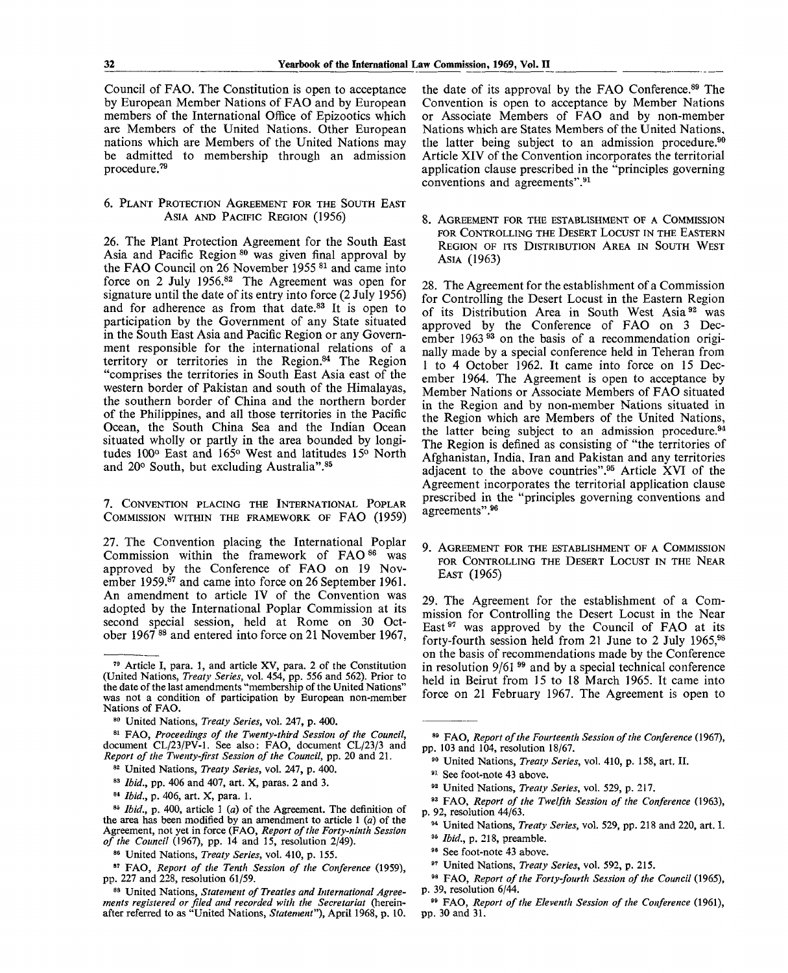Council of FAO. The Constitution is open to acceptance by European Member Nations of FAO and by European members of the International Office of Epizootics which are Members of the United Nations. Other European nations which are Members of the United Nations may be admitted to membership through an admission procedure.<sup>79</sup>

## 6. PLANT PROTECTION AGREEMENT FOR THE SOUTH EAST ASIA AND PACIFIC REGION (1956)

26. The Plant Protection Agreement for the South East Asia and Pacific Region<sup>80</sup> was given final approval by the FAO Council on 26 November 1955<sup>81</sup> and came into force on 2 July 1956.<sup>82</sup> The Agreement was open for signature until the date of its entry into force (2 July 1956) and for adherence as from that date.<sup>83</sup> It is open to participation by the Government of any State situated in the South East Asia and Pacific Region or any Government responsible for the international relations of a territory or territories in the Region.<sup>84</sup> The Region "comprises the territories in South East Asia east of the western border of Pakistan and south of the Himalayas, the southern border of China and the northern border of the Philippines, and all those territories in the Pacific Ocean, the South China Sea and the Indian Ocean situated wholly or partly in the area bounded by longitudes 100° East and 165° West and latitudes 15° North and 20° South, but excluding Australia".<sup>85</sup>

7. CONVENTION PLACING THE INTERNATIONAL POPLAR COMMISSION WITHIN THE FRAMEWORK OF FAO (1959)

27. The Convention placing the International Poplar Commission within the framework of  $FAO<sup>86</sup>$  was approved by the Conference of FAO on 19 November 1959.<sup>87</sup> and came into force on 26 September 1961. An amendment to article IV of the Convention was adopted by the International Poplar Commission at its second special session, held at Rome on 30 October 1967<sup>88</sup> and entered into force on 21 November 1967,

83  *Ibid.,* pp. 406 and 407, art. X, paras. 2 and 3.

the date of its approval by the FAO Conference.<sup>89</sup> The Convention is open to acceptance by Member Nations or Associate Members of FAO and by non-member Nations which are States Members of the United Nations, the latter being subject to an admission procedure.<sup>90</sup> Article XIV of the Convention incorporates the territorial application clause prescribed in the "principles governing conventions and agreements".<sup>91</sup>

8. AGREEMENT FOR THE ESTABLISHMENT OF A COMMISSION FOR CONTROLLING THE DESERT LOCUST IN THE EASTERN REGION OF ITS DISTRIBUTION AREA IN SOUTH WEST ASIA (1963)

28. The Agreement for the establishment of a Commission for Controlling the Desert Locust in the Eastern Region of its Distribution Area in South West Asia<sup>92</sup> was approved by the Conference of FAO on 3 December 1963 $\frac{93}{3}$  on the basis of a recommendation originally made by a special conference held in Teheran from 1 to 4 October 1962. It came into force on 15 December 1964. The Agreement is open to acceptance by Member Nations or Associate Members of FAO situated in the Region and by non-member Nations situated in the Region which are Members of the United Nations, the latter being subject to an admission procedure.<sup>94</sup> The Region is defined as consisting of "the territories of Afghanistan, India, Iran and Pakistan and any territories adjacent to the above countries".<sup>95</sup> Article XVI of the Agreement incorporates the territorial application clause prescribed in the "principles governing conventions and agreements".<sup>96</sup>

9. AGREEMENT FOR THE ESTABLISHMENT OF A COMMISSION FOR CONTROLLING THE DESERT LOCUST IN THE NEAR EAST (1965)

29. The Agreement for the establishment of a Commission for Controlling the Desert Locust in the Near East<sup>97</sup> was approved by the Council of FAO at its forty-fourth session held from 21 June to 2 July 1965,98 on the basis of recommendations made by the Conference in resolution 9/61<sup>99</sup> and by a special technical conference held in Beirut from 15 to 18 March 1965. It came into force on 21 February 1967. The Agreement is open to

82 United Nations, *Treaty Series,* vol. 529, p. 217.

- 84 United Nations, *Treaty Series,* vol. 529, pp. 218 and 220, art. I.
- 96  *Ibid.,* p. 218, preamble.
- <sup>98</sup> See foot-note 43 above.
- 97 United Nations, *Treaty Series,* vol. 592, p. 215.

<sup>79</sup> Article I, para. 1, and article XV, para. 2 of the Constitution (United Nations, *Treaty Series,* vol. 454, pp. 556 and 562). Prior to the date of the last amendments "membership of the United Nations" was not a condition of participation by European non-member Nations of FAO.

<sup>80</sup> United Nations, *Treaty Series,* vol. 247, **p. 400.**

<sup>81</sup> FAO, *Proceedings of the Twenty-third Session of the Council,* document CL/23/PV-1. See also: FAO, document CL/23/3 and *Report of the Twenty-first Session of the Council,* pp. 20 and 21.

<sup>82</sup> United Nations, *Treaty Series,* vol. 247, p. 400.

<sup>81</sup>  *Ibid.,* p. 406, art. X, para. 1.

<sup>8</sup>e  *Ibid.,* p. 400, article 1 *(a)* of the Agreement. The definition of the area has been modified by an amendment to article 1 *(a)* of the Agreement, not yet in force (FAO, *Report of the Forty-ninth Session of the Council* (1967), pp. 14 and 15, resolution 2/49).

<sup>86</sup> United Nations, *Treaty Series,* vol. 410, p. 155.

<sup>87</sup> FAO, *Report of the Tenth Session of the Conference* (1959), pp. 227 and 228, resolution 61/59.

<sup>88</sup> United Nations, *Statement of Treaties and International Agreements registered or filed and recorded with the Secretariat* (hereinafter referred to as "United Nations, *Statement"),* April 1968, p. 10.

<sup>&</sup>lt;sup>89</sup> FAO, *Report of the Fourteenth Session of the Conference* (1967), pp. 103 and 104, resolution 18/67.

<sup>90</sup> United Nations, *Treaty Series,* vol. 410, p. 158, art. II.

<sup>&</sup>lt;sup>91</sup> See foot-note 43 above.

<sup>93</sup> FAO, *Report of the Twelfth Session of the Conference* (1963), p. 92, resolution 44/63.

<sup>&</sup>lt;sup>98</sup> FAO, *Report of the Forty-fourth Session of the Council* (1965), p. 39, resolution 6/44.

<sup>99</sup> FAO, *Report of the Eleventh Session of the Conference* (1961), pp. 30 and 31.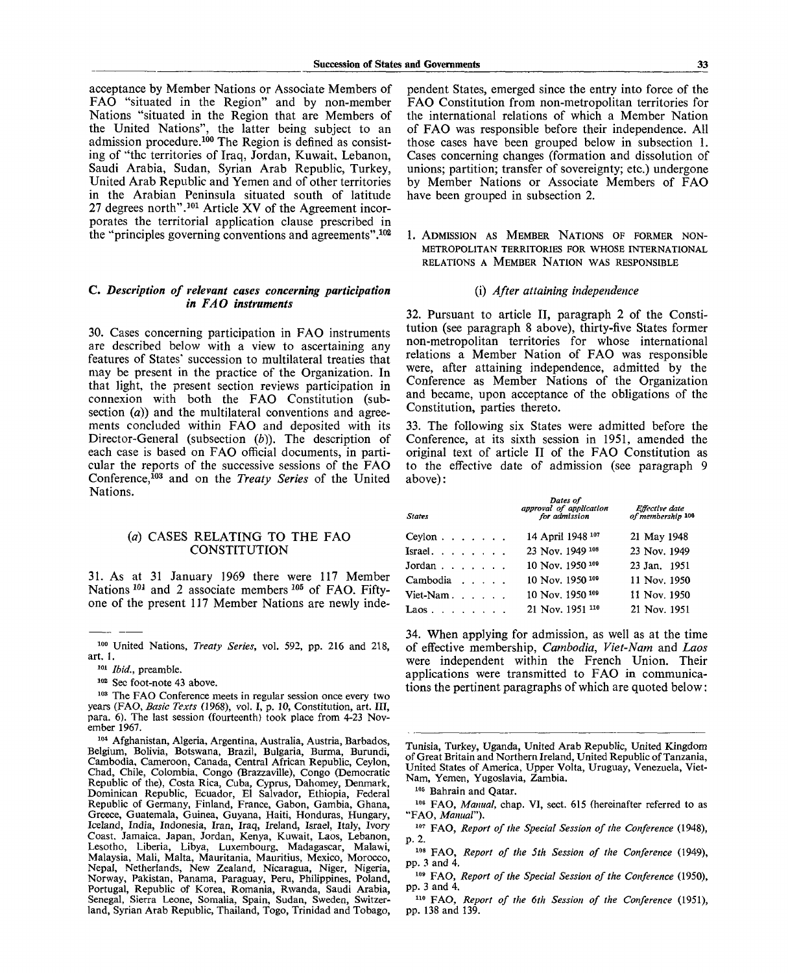acceptance by Member Nations or Associate Members of FAO "situated in the Region" and by non-member Nations "situated in the Region that are Members of the United Nations", the latter being subject to an admission procedure.<sup>100</sup> The Region is defined as consisting of "the territories of Iraq, Jordan, Kuwait, Lebanon, Saudi Arabia, Sudan, Syrian Arab Republic, Turkey, United Arab Republic and Yemen and of other territories in the Arabian Peninsula situated south of latitude 27 degrees north".<sup>101</sup> Article XV of the Agreement incorporates the territorial application clause prescribed in the "principles governing conventions and agreements".<sup>102</sup>

# C. *Description of relevant cases concerning participation in FAO instruments*

30. Cases concerning participation in FAO instruments are described below with a view to ascertaining any features of States' succession to multilateral treaties that may be present in the practice of the Organization. In that light, the present section reviews participation in connexion with both the FAO Constitution (subsection *(a))* and the multilateral conventions and agreements concluded within FAO and deposited with its Director-General (subsection *(b)).* The description of each case is based on FAO official documents, in particular the reports of the successive sessions of the FAO Conference,<sup>103</sup> and on the *Treaty Series* of the United Nations.

# *(a)* CASES RELATING TO THE FAO **CONSTITUTION**

31. As at 31 January 1969 there were 117 Member Nations<sup>101</sup> and 2 associate members<sup>105</sup> of FAO. Fiftyone of the present 117 Member Nations are newly inde-

104 Afghanistan, Algeria, Argentina, Australia, Austria, Barbados, Belgium, Bolivia, Botswana, Brazil, Bulgaria, Burma, Burundi, Cambodia, Cameroon, Canada, Central African Republic, Ceylon, Chad, Chile, Colombia, Congo (Brazzaville), Congo (Democratic Republic of the), Costa Rica, Cuba, Cyprus, Dahomey, Denmark, Dominican Republic, Ecuador, El Salvador, Ethiopia, Federal Republic of Germany, Finland, France, Gabon, Gambia, Ghana, Greece, Guatemala, Guinea, Guyana, Haiti, Honduras, Hungary, Iceland, India, Indonesia, Iran, Iraq, Ireland, Israel, Italy, Ivory Coast, Jamaica. Japan, Jordan, Kenya, Kuwait, Laos, Lebanon, Lesotho, Liberia, Libya, Luxembourg, Madagascar, Malawi, Malaysia, Mali, Malta, Mauritania, Mauritius, Mexico, Morocco, Nepal, Netherlands, New Zealand, Nicaragua, Niger, Nigeria, Norway, Pakistan, Panama, Paraguay, Peru, Philippines, Poland, Portugal, Republic of Korea, Romania, Rwanda, Saudi Arabia, Senegal, Sierra Leone, Somalia, Spain, Sudan, Sweden, Switzerland, Syrian Arab Republic, Thailand, Togo, Trinidad and Tobago,

pendent States, emerged since the entry into force of the FAO Constitution from non-metropolitan territories for the international relations of which a Member Nation of FAO was responsible before their independence. All those cases have been grouped below in subsection 1. Cases concerning changes (formation and dissolution of unions; partition; transfer of sovereignty; etc.) undergone by Member Nations or Associate Members of FAO have been grouped in subsection 2.

1. ADMISSION AS MEMBER NATIONS OF FORMER NON-METROPOLITAN TERRITORIES FOR WHOSE INTERNATIONAL RELATIONS A MEMBER NATION WAS RESPONSIBLE

# (i) *After attaining independence*

32. Pursuant to article II, paragraph 2 of the Constitution (see paragraph 8 above), thirty-five States former non-metropolitan territories for whose international relations a Member Nation of FAO was responsible were, after attaining independence, admitted by the Conference as Member Nations of the Organization and became, upon acceptance of the obligations of the Constitution, parties thereto.

33. The following six States were admitted before the Conference, at its sixth session in 1951, amended the original text of article II of the FAO Constitution as to the effective date of admission (see paragraph 9 above):

| <b>States</b>                     |  |  | Dates of<br>approval of application<br>for admission | Effective date<br>of membership 106 |
|-----------------------------------|--|--|------------------------------------------------------|-------------------------------------|
| Ceylon $\ldots$ $\ldots$ $\ldots$ |  |  | 14 April 1948 107                                    | 21 May 1948                         |
| Israel.                           |  |  | 23 Nov. 1949 108                                     | 23 Nov. 1949                        |
| Jordan                            |  |  | 10 Nov. 1950 109                                     | 23 Jan. 1951                        |
| Cambodia                          |  |  | 10 Nov. 1950 <sup>109</sup>                          | 11 Nov. 1950                        |
| Viet-Nam. $\ldots$ .              |  |  | 10 Nov. 1950 109                                     | 11 Nov. 1950                        |
| Laos                              |  |  | 21 Nov. 1951 110                                     | 21 Nov. 1951                        |

34. When applying for admission, as well as at the time of effective membership, *Cambodia, Viet-Nam* and *Laos* were independent within the French Union. Their applications were transmitted to FAO in communications the pertinent paragraphs of which are quoted below:

Tunisia, Turkey, Uganda, United Arab Republic, United Kingdom of Great Britain and Northern Ireland, United Republic of Tanzania, United States of America, Upper Volta, Uruguay, Venezuela, Viet-Nam, Yemen, Yugoslavia, Zambia.

106 Bahrain and Qatar.

<sup>106</sup> FAO, Manual, chap. VI, sect. 615 (hereinafter referred to as "FAO, *Manual").*

107 FAO, *Report of the Special Session of the Conference* (1948), p. 2.

<sup>108</sup> FAO, Report of the 5th Session of the Conference (1949), pp. 3 and 4.

<sup>109</sup> FAO, *Report of the Special Session of the Conference* (1950), pp. 3 and 4.

110 FAO, *Report of the 6th Session of the Conference* (1951), pp. 138 and 139.

<sup>100</sup> United Nations, *Treaty Series,* vol. 592, pp. 216 and 218, art. 1.

<sup>101</sup>  *Ibid.,* preamble.

<sup>102</sup> Sec foot-note 43 above.

<sup>&</sup>lt;sup>103</sup> The FAO Conference meets in regular session once every two years (FAO, Basic Texts (1968), vol. I, p. 10, Constitution, art. III, para. 6). The last session (fourteenth) took place from 4-23 November 1967.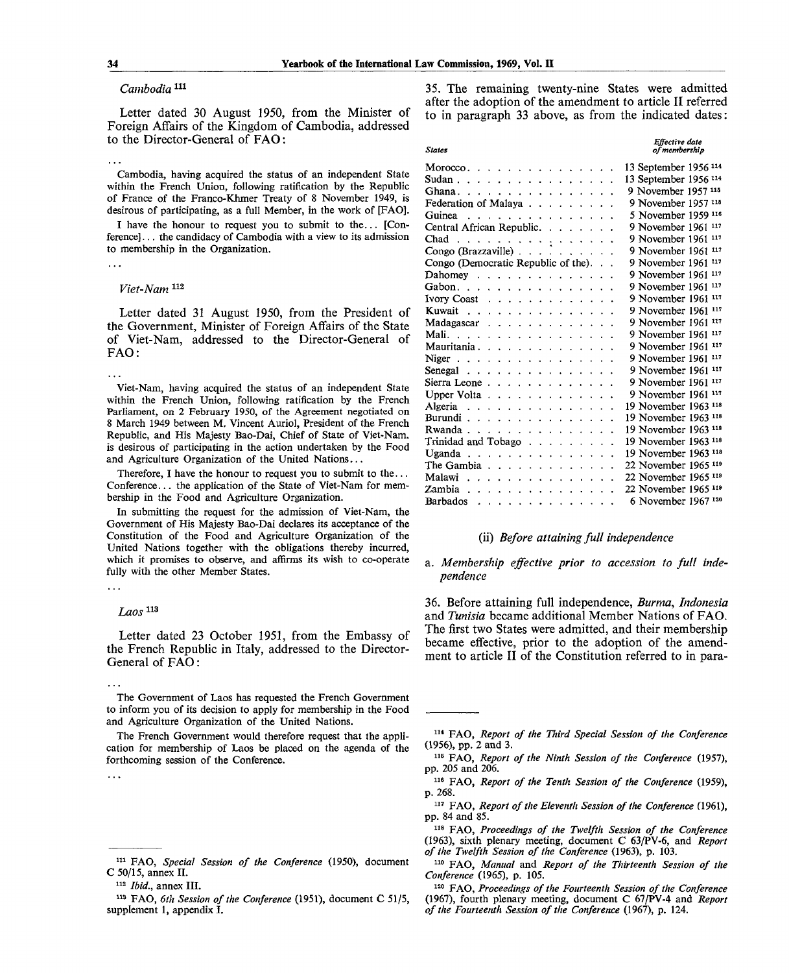#### $Cambodia$ <sup>111</sup>

Letter dated 30 August 1950, from the Minister of Foreign Affairs of the Kingdom of Cambodia, addressed to the Director-General of FAO:

Cambodia, having acquired the status of an independent State within the French Union, following ratification by the Republic of France of the Franco-Khmer Treaty of 8 November 1949, is desirous of participating, as a full Member, in the work of [FAO].

I have the honour to request you to submit to the... [Conference] ... the candidacy of Cambodia with a view to its admission to membership in the Organization.

 $\ddotsc$ 

 $\sim$ 

#### *Viet-Nam*<sup>112</sup>

Letter dated 31 August 1950, from the President of the Government, Minister of Foreign Affairs of the State of Viet-Nam, addressed to the Director-General of FAO:

Viet-Nam, having acquired the status of an independent State within the French Union, following ratification by the French Parliament, on 2 February 1950, of the Agreement negotiated on 8 March 1949 between M. Vincent Auriol, President of the French Republic, and His Majesty Bao-Dai, Chief of State of Viet-Nam, is desirous of participating in the action undertaken by the Food and Agriculture Organization of the United Nations...

Therefore, I have the honour to request you to submit to the... Conference... the application of the State of Viet-Nam for membership in the Food and Agriculture Organization.

In submitting the request for the admission of Viet-Nam, the Government of His Majesty Bao-Dai declares its acceptance of the Constitution of the Food and Agriculture Organization of the United Nations together with the obligations thereby incurred, which it promises to observe, and affirms its wish to co-operate fully with the other Member States.

# $\ddot{\phantom{a}}$

# *Laos*<sup>113</sup>

Letter dated 23 October 1951, from the Embassy of the French Republic in Italy, addressed to the Director-General of FAO:

The Government of Laos has requested the French Government to inform you of its decision to apply for membership in the Food and Agriculture Organization of the United Nations.

The French Government would therefore request that the application for membership of Laos be placed on the agenda of the forthcoming session of the Conference.

 $\ddotsc$ 

 $\ddotsc$ 

35. The remaining twenty-nine States were admitted after the adoption of the amendment to article II referred to in paragraph 33 above, as from the indicated dates:

| States                                                                                                                                                                     | Effective date<br>of membership |
|----------------------------------------------------------------------------------------------------------------------------------------------------------------------------|---------------------------------|
| Morocco. $\cdots$ .                                                                                                                                                        | 13 September 1956 114           |
| Sudan.                                                                                                                                                                     | 13 September 1956 114           |
| Ghana                                                                                                                                                                      | 9 November 1957 115             |
| Federation of Malaya                                                                                                                                                       | 9 November 1957 115             |
| Guinea                                                                                                                                                                     | 5 November 1959 116             |
| Central African Republic.<br>$\ddot{\phantom{a}}$                                                                                                                          | 9 November 1961 117             |
| Chad<br>والمتعارف والمتعارف والمتعارف والمتعارفات                                                                                                                          | 9 November 1961 117             |
| Congo (Brazzaville) $\ldots$ $\ldots$                                                                                                                                      | 9 November 1961 117             |
| Congo (Democratic Republic of the).                                                                                                                                        | 9 November 1961 117             |
| Dahomey                                                                                                                                                                    | 9 November 1961 117             |
| Gabon.                                                                                                                                                                     | 9 November 1961 117             |
| Ivory Coast $\ldots$                                                                                                                                                       | 117<br>9 November 1961          |
| Kuwait $\ldots$ , $\ldots$ , $\ldots$<br>$\ddot{\phantom{a}}$<br>$\ddot{\phantom{0}}$<br>$\sim 10^{-1}$                                                                    | 9 November 1961 117             |
| Madagascar                                                                                                                                                                 | 9 November 1961 117             |
| Mali.<br>and a series and<br>$\cdots$<br>$\ddot{\phantom{0}}$                                                                                                              | 9 November 1961 117             |
| Mauritania                                                                                                                                                                 | 9 November 1961<br>117          |
| Niger $\ldots$ $\ldots$ $\ldots$ $\ldots$                                                                                                                                  | 9 November 1961 117             |
| Senegal $\ldots$                                                                                                                                                           | 9 November 1961 117             |
| Sierra Leone                                                                                                                                                               | 9 November 1961 117             |
| Upper Volta $\ldots$ $\ldots$ $\ldots$ $\ldots$                                                                                                                            | 9 November 1961 117             |
| Algeria                                                                                                                                                                    | 19 November 1963 118            |
| Burundi.                                                                                                                                                                   | 19 November 1963 <sup>118</sup> |
| Rwanda $\ldots$<br>$\sim$ $\sim$ $\sim$<br>$\sim$                                                                                                                          | 19 November 1963 118            |
| Trinidad and Tobago<br>a.<br>$\ddot{\phantom{0}}$<br>ï<br>$\ddot{\phantom{0}}$                                                                                             | 19 November 1963 118            |
| Uganda $\ldots$ $\ldots$<br>$\cdots$<br>$\ddot{\phantom{0}}$<br>$\sim$                                                                                                     | 19 November 1963 118            |
| The Gambia $\ldots$ $\ldots$<br>$\ddot{\phantom{0}}$<br>$\ddot{\phantom{1}}$<br>$\ddot{\phantom{a}}$<br>$\ddot{\phantom{0}}$<br>$\mathbf{r}$                               | 22 November 1965 <sup>119</sup> |
| Malawi<br>$\ddot{\phantom{a}}$<br>$\mathbf{r}$                                                                                                                             | 22 November 1965 <sup>119</sup> |
| Zambia<br>$\mathbf{r}$ , and $\mathbf{r}$<br>$\mathbf{L} = \mathbf{L} \times \mathbf{L}$<br>$\mathbf{r}=\mathbf{r}+\mathbf{r}$ .<br>$\overline{\phantom{a}}$               | 22 November 1965 119            |
| Barbados<br>$\mathbf{A}$<br>$\mathbf{r} = \mathbf{r} + \mathbf{r}$ .<br>k.<br>$\ddot{\phantom{0}}$<br>$\ddot{\phantom{0}}$<br>$\ddot{\phantom{a}}$<br>$\ddot{\phantom{0}}$ | 6 November 1967 <sup>120</sup>  |

#### (ii) *Before attaining full independence*

#### a. *Membership effective prior to accession to full independence*

36. Before attaining full independence, *Burma, Indonesia* and *Tunisia* became additional Member Nations of FAO. The first two States were admitted, and their membership became effective, prior to the adoption of the amendment to article II of the Constitution referred to in para-

- 114 FAO, *Report of the Third Special Session of the Conference* (1956), pp. 2 and 3.
- 116 FAO, *Report of the Ninth Session of the Conference* (1957), pp. 205 and 206.
- 116 FAO, *Report of the Tenth Session of the Conference* (1959), p. 268.
- 117 FAO, *Report of the Eleventh Session of the Conference* (1961), pp. 84 and 85.

118 FAO, *Proceedings of the Twelfth Session of the Conference* (1963), sixth plenary meeting, document C 63/PV-6, and *Report of the Twelfth Session of the Conference* (1963), p. 103.

110 FAO, *Manual* and *Report of the Thirteenth Session of the Conference* (1965), p. 105.

120 FAO, *Proceedings of the Fourteenth Session of the Conference* (1967), fourth plenary meeting, document C 67/PV-4 and *Report of the Fourteenth Session of the Conference* (1967), p. 124.

<sup>111</sup> FAO, *Special Session of the Conference* (1950), document C 50/15, annex II.

<sup>112</sup>  *Ibid.,* annex III.

<sup>113</sup> FAO, *6th Session of the Conference* (1951), document C 51/5, supplement 1, appendix I.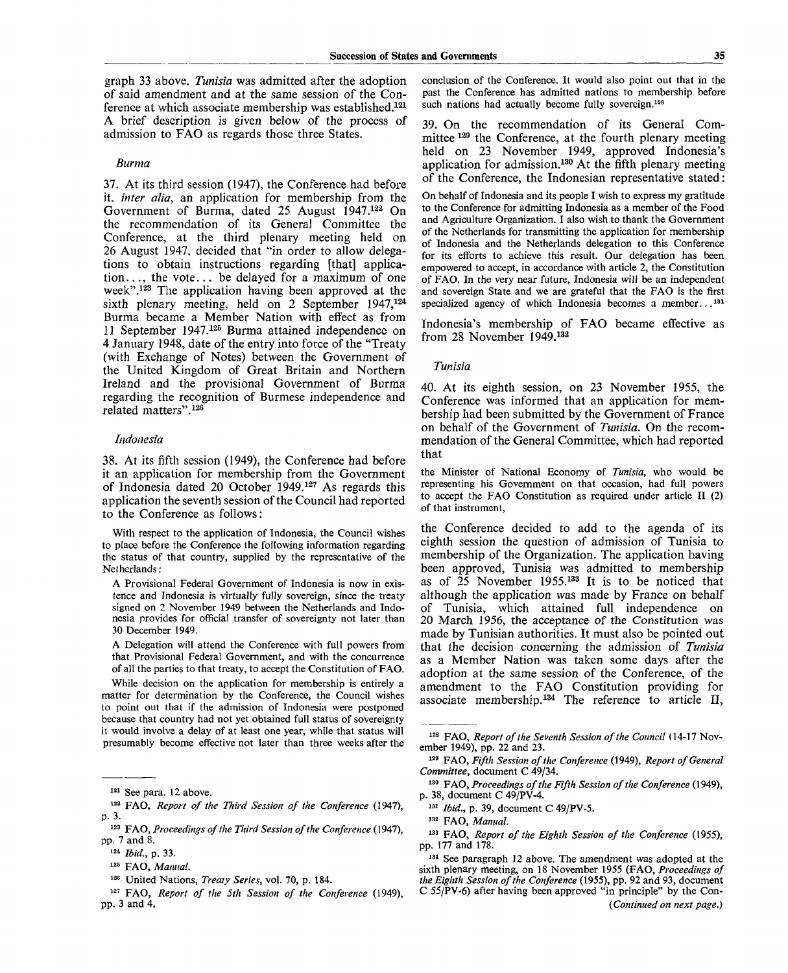graph 33 above. *Tunisia* was admitted after the adoption of said amendment and at the same session of the Conference at which associate membership was established.<sup>121</sup> A brief description is given below of the process of admission to FAO as regards those three States.

## *Burma*

37. At its third session (1947), the Conference had before it. *inter alia,* an application for membership from the Government of Burma, dated 25 August 1947.<sup>122</sup> On the recommendation of its General Committee the Conference, at the third plenary meeting held on 26 August 1947, decided that "in order to allow delegations to obtain instructions regarding [that] application. .., the vote... be delayed for a maximum of one week".<sup>123</sup> The application having been approved at the sixth plenary meeting, held on 2 September 1947,<sup>124</sup> Burma became a Member Nation with effect as from 11 September 1947.<sup>125</sup> Burma attained independence on 4 January 1948, date of the entry into force of the "Treaty (with Exchange of Notes) between the Government of the United Kingdom of Great Britain and Northern Ireland and the provisional Government of Burma regarding the recognition of Burmese independence and related matters".<sup>126</sup>

## *Indonesia*

38. At its fifth session (1949), the Conference had before it an application for membership from the Government of Indonesia dated 20 October 1949.<sup>127</sup> As regards this application the seventh session of the Council had reported to the Conference as follows:

With respect to the application of Indonesia, the Council wishes to place before the Conference the following information regarding the status of that country, supplied by the representative of the Netherlands :

A Provisional Federal Government of Indonesia is now in existence and Indonesia is virtually fully sovereign, since the treaty signed on 2 November 1949 between the Netherlands and Indonesia provides for official transfer of sovereignty not later than 30 December 1949.

A Delegation will attend the Conference with full powers from that Provisional Federal Government, and with the concurrence of all the parties to that treaty, to accept the Constitution of FAO.

While decision on the application for membership is entirely a matter for determination by the Conference, the Council wishes to point out that if the admission of Indonesia were postponed because that country had not yet obtained full status of sovereignty it would involve a delay of at least one year, while that status will presumably become effective not later than three weeks after the

conclusion of the Conference. It would also point out that in the past the Conference has admitted nations to membership before such nations had actually become fully sovereign.<sup>128</sup>

39. On the recommendation of its General Committee <sup>129</sup> the Conference, at the fourth plenary meeting held on 23 November 1949, approved Indonesia's application for admission.<sup>130</sup> At the fifth plenary meeting of the Conference, the Indonesian representative stated:

On behalf of Indonesia and its people I wish to express my gratitude to the Conference for admitting Indonesia as a member of the Food and Agriculture Organization. I also wish to thank the Government of the Netherlands for transmitting the application for membership of Indonesia and the Netherlands delegation to this Conference for its efforts to achieve this result. Our delegation has been empowered to accept, in accordance with article 2, the Constitution of FAO. In the very near future, Indonesia will be an independent and sovereign State and we are grateful that the FAO is the first specialized agency of which Indonesia becomes a member...<sup>131</sup>

Indonesia's membership of FAO became effective as from 28 November 1949.<sup>132</sup>

#### *Tunisia*

40. At its eighth session, on 23 November 1955, the Conference was informed that an application for membership had been submitted by the Government of France on behalf of the Government of *Tunisia.* On the recommendation of the General Committee, which had reported that

the Minister of National Economy of *Tunisia,* who would be representing his Government on that occasion, had full powers to accept the FAO Constitution as required under article II (2) of that instrument,

the Conference decided to add to the agenda of its eighth session the question of admission of Tunisia to membership of the Organization. The application having been approved, Tunisia was admitted to membership as of  $25$  November 1955.<sup>133</sup> It is to be noticed that although the application was made by France on behalf of Tunisia, which attained full independence on 20 March 1956, the acceptance of the Constitution was made by Tunisian authorities. It must also be pointed out that the decision concerning the admission of *Tunisia* as a Member Nation was taken some days after the adoption at the same session of the Conference, of the amendment to the FAO Constitution providing for associate membership.<sup>13</sup>\* The reference *to* article II,

- 130 FAO, *Proceedings of the Fifth Session of the Conference* (1949), p. 38, document C 49/PV-4.
	- 131  *Ibid.,* p. 39, document C 49/PV-5.
	- 132 FAO, *Manual.*
- 183 FAO, *Report of the Eighth Session of the Conference* (1955), pp. 177 and 178.

<sup>121</sup> See para. 12 above.

<sup>&</sup>lt;sup>122</sup> FAO, *Report of the Third Session of the Conference* (1947), p. 3.

<sup>123</sup> FAO, *Proceedings of the Third Session of the Conference* (1947), pp. 7 and 8.

<sup>121</sup>  *Ibid.,* p. 33.

<sup>125</sup> FAO, *Manual.*

<sup>126</sup> United Nations, *Treaty Series,* vol. 70, p. 184.

<sup>127</sup> FAO, *Report of the 5th Session of the Conference* (1949), pp. 3 and 4.

<sup>128</sup> FAO, *Report of the Seventh Session of the Council* (14-17 November 1949), pp. 22 and 23.

<sup>129</sup> FAO, *Fifth Session of the Conference* (1949), *Report of General Committee,* document C 49/34.

<sup>134</sup> See paragraph 12 above. The amendment was adopted at the sixth plenary meeting, on 18 November 1955 (FAO, *Proceedings of the Eighth Session of the Conference* (1955), pp. 92 and 93, document C 55/PV-6) after having been approved "in principle" by the Con- *(Continued on next page.)*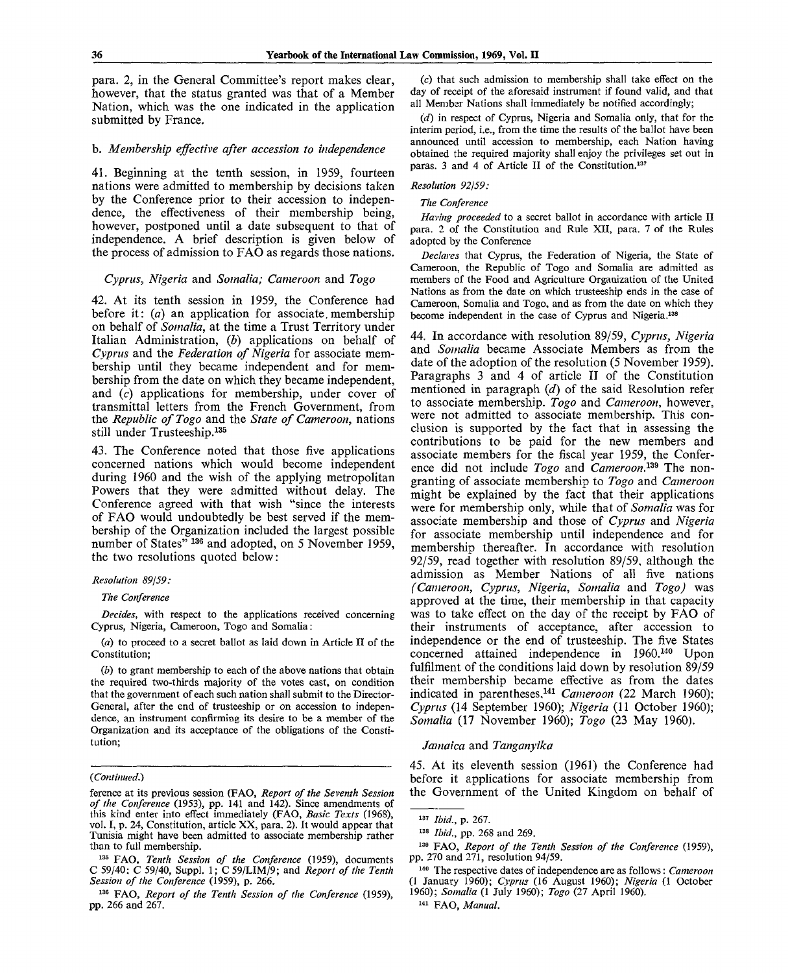para. 2, in the General Committee's report makes clear, however, that the status granted was that of a Member Nation, which was the one indicated in the application submitted by France.

### b. *Membership effective after accession to independence*

41. Beginning at the tenth session, in 1959, fourteen nations were admitted to membership by decisions taken by the Conference prior to their accession to independence, the effectiveness of their membership being, however, postponed until a date subsequent to that of independence. A brief description is given below of the process of admission to FAO as regards those nations.

#### *Cyprus, Nigeria* and *Somalia; Cameroon* and *Togo*

42. At its tenth session in 1959, the Conference had before it: (*a*) an application for associate, membership on behalf of *Somalia,* at the time a Trust Territory under Italian Administration, *(b)* applications on behalf of *Cyprus* and the *Federation of Nigeria* for associate membership until they became independent and for membership from the date on which they became independent, and  $(c)$  applications for membership, under cover of transmittal letters from the French Government, from the *Republic of Togo* and the *State of Cameroon,* nations still under Trusteeship.<sup>135</sup>

43. The Conference noted that those five applications concerned nations which would become independent during 1960 and the wish of the applying metropolitan Powers that they were admitted without delay. The Conference agreed with that wish "since the interests of FAO would undoubtedly be best served if the membership of the Organization included the largest possible number of States"<sup>136</sup> and adopted, on 5 November 1959, the two resolutions quoted below:

#### *Resolution 89/59:*

#### *The Conference*

*Decides,* with respect to the applications received concerning Cyprus, Nigeria, Cameroon, Togo and Somalia:

*(a)* to proceed to a secret ballot as laid down in Article II of the Constitution;

*(b)* to grant membership to each of the above nations that obtain the required two-thirds majority of the votes cast, on condition that the government of each such nation shall submit to the Director-General, after the end of trusteeship or on accession to independence, an instrument confirming its desire to be a member of the Organization and its acceptance of the obligations of the Constitution;

#### *(Continued.)*

136 FAO, *Report of the Tenth Session of the Conference* (1959), pp. 266 and 267.

(c) that such admission to membership shall take effect on the day of receipt of the aforesaid instrument if found valid, and that all Member Nations shall immediately be notified accordingly;

*(d)* in respect of Cyprus, Nigeria and Somalia only, that for the interim period, i.e., from the time the results of the ballot have been announced until accession to membership, each Nation having obtained the required majority shall enjoy the privileges set out in paras. 3 and 4 of Article II of the Constitution.<sup>137</sup>

#### *Resolution 92/59:*

#### *The Conference*

*Having proceeded* to a secret ballot in accordance with article II para. 2 of the Constitution and Rule XII, para. 7 of the Rules adopted by the Conference

*Declares* that Cyprus, the Federation of Nigeria, the State of Cameroon, the Republic of Togo and Somalia are admitted as members of the Food and Agriculture Organization of the United Nations as from the date on which trusteeship ends in the case of Cameroon, Somalia and Togo, and as from the date on which they become independent in the case of Cyprus and Nigeria.<sup>138</sup>

44. In accordance with resolution 89/59, *Cyprus, Nigeria* and *Somalia* became Associate Members as from the date of the adoption of the resolution (5 November 1959). Paragraphs 3 and 4 of article II of the Constitution mentioned in paragraph *(d)* of the said Resolution refer to associate membership. *Togo* and *Cameroon,* however, were not admitted to associate membership. This conclusion is supported by the fact that in assessing the contributions to be paid for the new members and associate members for the fiscal year 1959, the Conference did not include Togo and Cameroon.<sup>139</sup> The nongranting of associate membership to *Togo* and *Cameroon* might be explained by the fact that their applications were for membership only, while that of *Somalia* was for associate membership and those of *Cyprus* and *Nigeria* for associate membership until independence and for membership thereafter. In accordance with resolution 92/59, read together with resolution 89/59, although the admission as Member Nations of all five nations *(Cameroon, Cyprus, Nigeria, Somalia* and *Togo)* was approved at the time, their membership in that capacity was to take effect on the day of the receipt by FAO of their instruments of acceptance, after accession to independence or the end of trusteeship. The five States concerned attained independence in I960.<sup>140</sup> Upon fulfilment of the conditions laid down by resolution  $89/59$ their membership became effective as from the dates indicated in parentheses.<sup>141</sup>  *Cameroon* (22 March 1960); *Cyprus* (14 September 1960); *Nigeria* (11 October 1960); *Somalia* (17 November 1960); *Togo* (23 May 1960).

# *Jamaica* and *Tanganyika*

45. At its eleventh session (1961) the Conference had before it applications for associate membership from the Government of the United Kingdom on behalf of

ference at its previous session (FAO, *Report of the Seventh Session of the Conference* (1953), pp. 141 and 142). Since amendments of this kind enter into effect immediately (FAO, *Basic Texts* (1968), vol. I, p. 24, Constitution, article XX, para. 2). It would appear that Tunisia might have been admitted to associate membership rather than to full membership.

<sup>135</sup> FAO, Tenth Session of the Conference (1959), documents C 59/40; C 59/40, Suppl. 1; C59/LIM/9; and *Report of the Tenth Session of the Conference* (1959), p. 266.

<sup>137</sup>  *Ibid.,* p. 267.

<sup>138</sup>  *Ibid.,* pp. 268 and 269.

<sup>&</sup>lt;sup>139</sup> FAO, Report of the Tenth Session of the Conference (1959), pp. 270 and 271, resolution 94/59.

<sup>140</sup> The respective dates of independence are as follows: *Cameroon* (1 January 1960); *Cyprus* (16 August 1960); *Nigeria* (1 October 1960); *Somalia* (1 July 1960); *Togo* (27 April 1960).

<sup>141</sup> FAO, *Manual.*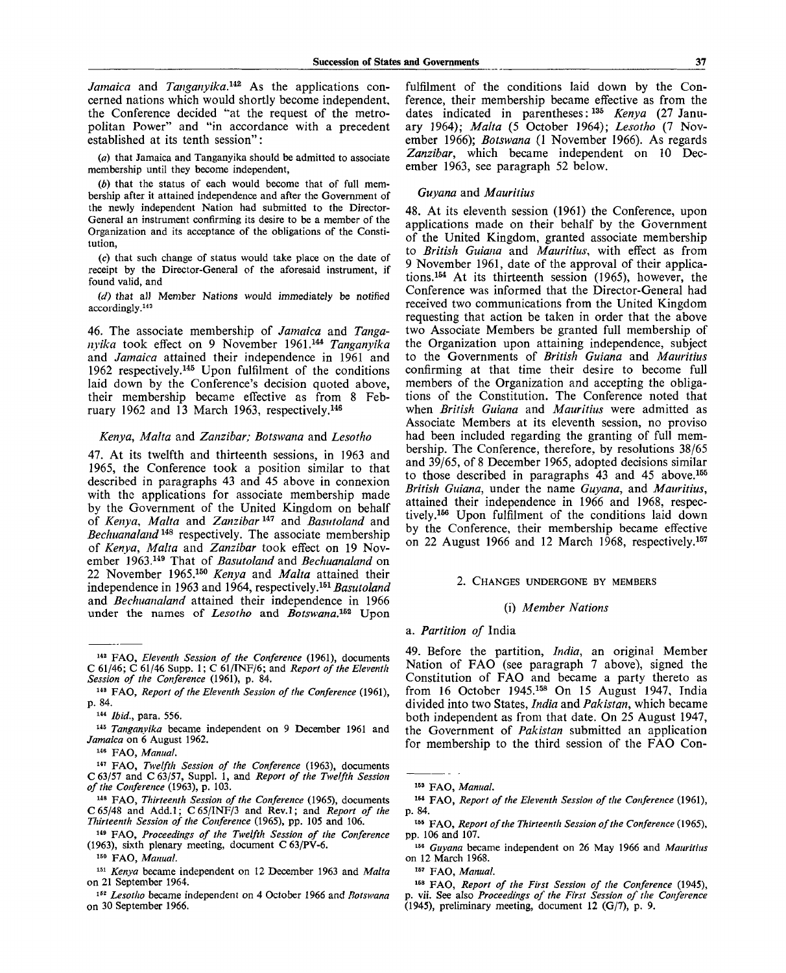*Jamaica* and *Tanganyika.<sup>1</sup>®* As the applications concerned nations which would shortly become independent, the Conference decided '"at the request of the metropolitan Power" and "in accordance with a precedent established at its tenth session":

*(a)* that Jamaica and Tanganyika should be admitted to associate membership until they become independent,

*(b)* that the status of each would become that of full membership after it attained independence and after the Government of the newly independent Nation had submitted to the Director-General an instrument confirming its desire to be a member of the Organization and its acceptance of the obligations of the Constitution,

(c) that such change of status would take place on the date of receipt by the Director-General of the aforesaid instrument, if found valid, and

*(d)* that all Member Nations would immediately be notified accordingly.<sup>113</sup>

46. The associate membership of *Jamaica* and *Tanganyika* took effect on 9 November 1961.<sup>144</sup>  *Tanganyika* and *Jamaica* attained their independence in 1961 and 1962 respectively.<sup>145</sup> Upon fulfilment of the conditions laid down by the Conference's decision quoted above, their membership became effective as from 8 February 1962 and 13 March 1963, respectively.<sup>146</sup>

# *Kenya, Malta* and *Zanzibar; Botswana* and *Lesotho*

47. At its twelfth and thirteenth sessions, in 1963 and 1965, the Conference took a position similar to that described in paragraphs 43 and 45 above in connexion with the applications for associate membership made by the Government of the United Kingdom on behalf of *Kenya, Malta* and *Zanzibar*<sup>147</sup> and *Basutoland* and *Bechnanaland*<sup>148</sup> respectively. The associate membership of *Kenya, Malta* and *Zanzibar* took effect on 19 November 1963.<sup>149</sup> That of *Basutoland* and *Bechuanaland* on 22 November 1965.<sup>150</sup>  *Kenya* and *Malta* attained their independence in 1963 and 1964, respectively.<sup>161</sup>  *Basutoland* and *Bechuanaland* attained their independence in 1966 under the names of *Lesotho* and *Botswana*.<sup>152</sup> Upon

146 FAO, *Manual.*

147 FAO, *Twelfth Session of the Conference* (1963), documents C 63/57 and C 63/57, Suppl. 1, and *Report of the Twelfth Session of the Conference* (1963), p. 103.

148 FAO, *Thirteenth Session of the Conference* (1965), documents C 65/48 and Add.l; C65/INF/3 and Rev.l; and *Report of the Tliirteenth Session of the Conference* (1965), pp. 105 and 106.

149 FAO, *Proceedings of the Twelfth Session of the Conference* (1963), sixth plenary meeting, document C 63/PV-6.

<sup>150</sup> FAO, Manual.

151  *Kenya* became independent on 12 December 1963 and *Malta* on 21 September 1964.

162  *Lesotho* became independent on 4 October 1966 and *Botswana* on 30 September 1966.

fulfilment of the conditions laid down by the Conference, their membership became effective as from the dates indicated in parentheses:<sup>135</sup>  *Kenya* (27 January 1964); *Malta* (5 October 1964); *Lesotho* (7 November 1966); *Botswana* (1 November 1966). As regards *Zanzibar,* which became independent on 10 December 1963, see paragraph 52 below.

# *Guyana* and *Mauritius*

48. At its eleventh session (1961) the Conference, upon applications made on their behalf by the Government of the United Kingdom, granted associate membership to *British Guiana* and *Mauritius,* with effect as from 9 November 1961, date of the approval of their applications.<sup>154</sup> At its thirteenth session (1965), however, the Conference was informed that the Director-General had received two communications from the United Kingdom requesting that action be taken in order that the above two Associate Members be granted full membership of the Organization upon attaining independence, subject to the Governments of *British Guiana* and *Mauritius* confirming at that time their desire to become full members of the Organization and accepting the obligations of the Constitution. The Conference noted that when *British Guiana* and *Mauritius* were admitted as Associate Members at its eleventh session, no proviso had been included regarding the granting of full membership. The Conference, therefore, by resolutions 38/65 and 39/65, of 8 December 1965, adopted decisions similar to those described in paragraphs 43 and 45 above.<sup>155</sup> *British Guiana,* under the name *Guyana,* and *Mauritius,* attained their independence in 1966 and 1968, respectively.<sup>156</sup> Upon fulfilment of the conditions laid down by the Conference, their membership became effective on 22 August 1966 and 12 March 1968, respectively.<sup>157</sup>

#### 2. CHANGES UNDERGONE BY MEMBERS

#### (i) *Member Nations*

## a. *Partition of* India

49. Before the partition, *India,* an original Member Nation of FAO (see paragraph 7 above), signed the Constitution of FAO and became a party thereto as from 16 October 1945.<sup>158</sup> On 15 August 1947, India divided into two States, *India* and *Pakistan,* which became both independent as from that date. On 25 August 1947, the Government of *Pakistan* submitted an application for membership to the third session of the FAO Con-

164 FAO, *Report of the Eleventh Session of the Conference* (1961), p. 84.

156 FAO, *Report of the Thirteenth Session of the Conference* (1965), pp. 106 and 107.

156  *Guyana* became independent on 26 May 1966 and *Mauritius* on 12 March 1968.

167 FAO, *Manual.*

<sup>158</sup> FAO, Report of the First Session of the Conference (1945), p. vii. See also *Proceedings of the First Session of the Conference* (1945), preliminary meeting, document 12 (G/7), p. 9.

<sup>142</sup> FAO, *Eleventh Session of the Conference* (1961), documents C 61/46; C 61/46 Supp. 1; C 61/INF/6; and *Report of the Eleventh Session of the Conference* (1961), p. 84.

<sup>143</sup> FAO, *Report of the Eleventh Session of the Conference* (1961), p. 84.

<sup>144</sup>  *Ibid.,* para. 556.

<sup>145</sup>  *Tanganyika* became independent on 9 December 1961 and *Jamaica* on 6 August 1962.

<sup>&</sup>lt;sup>153</sup> FAO, Manual.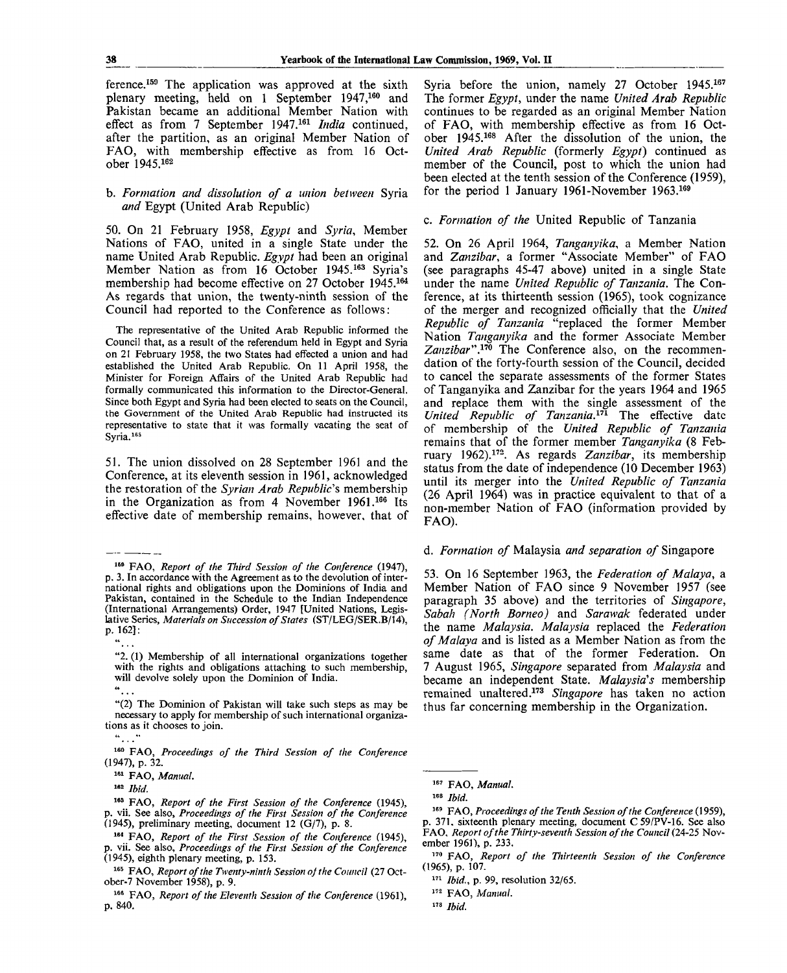ference.<sup>159</sup> The application was approved at the sixth plenary meeting, held on 1 September 1947,<sup>160</sup> and Pakistan became an additional Member Nation with effect as from 7 September 1947.<sup>161</sup> India continued, after the partition, as an original Member Nation of FAO, with membership effective as from 16 October 1945.<sup>162</sup>

## b. *Formation and dissolution of a union between* Syria *and* Egypt (United Arab Republic)

50. On 21 February 1958, *Egypt* and *Syria,* Member Nations of FAO, united in a single State under the name United Arab Republic. *Egypt* had been an original Member Nation as from 16 October 1945.<sup>163</sup> Syria's membership had become effective on 27 October 1945.<sup>164</sup> As regards that union, the twenty-ninth session of the Council had reported to the Conference as follows:

The representative of the United Arab Republic informed the Council that, as a result of the referendum held in Egypt and Syria on 21 February 1958, the two States had effected a union and had established the United Arab Republic. On 11 April 1958, the Minister for Foreign Affairs of the United Arab Republic had formally communicated this information to the Director-General. Since both Egypt and Syria had been elected to seats on the Council, the Government of the United Arab Republic had instructed its representative to state that it was formally vacating the seat of Syria.<sup>165</sup>

51. The union dissolved on 28 September 1961 and the Conference, at its eleventh session in 1961, acknowledged the restoration of the *Syrian Arab Republic's* membership in the Organization as from 4 November  $1961$ .<sup>166</sup> Its effective date of membership remains, however, that of

 $\mathbf{G}_{\mathrm{max}}$ 

- 164 FAO, *Report of the First Session of the Conference* (1945), p. vii. See also, *Proceedings of the First Session of the Conference* (1945), eighth plenary meeting, p. 153.
- 165 FAO, *Report of the Twenty-ninth Session of the Council* (27 October-7 November 1958), p. 9.
- 196 FAO, *Report of the Eleventh Session of the Conference* (1961), p. 840.

Syria before the union, namely 27 October 1945.<sup>167</sup> The former *Egypt,* under the name *United Arab Republic* continues to be regarded as an original Member Nation of FAO, with membership effective as from 16 October 1945.<sup>168</sup> After the dissolution of the union, the *United Arab Republic* (formerly *Egypt)* continued as member of the Council, post to which the union had been elected at the tenth session of the Conference (1959), for the period 1 January 1961-November 1963.<sup>169</sup>

# c. *Formation of the* United Republic of Tanzania

52. On 26 April 1964, *Tanganyika,* a Member Nation and *Zanzibar,* a former "Associate Member" of FAO (see paragraphs 45-47 above) united in a single State under the name *United Republic of Tanzania.* The Conference, at its thirteenth session (1965), took cognizance of the merger and recognized officially that the *United Republic of Tanzania* "replaced the former Member Nation *Tanganyika* and the former Associate Member *Zanzibar".<sup>110</sup>* The Conference also, on the recommendation of the forty-fourth session of the Council, decided to cancel the separate assessments of the former States of Tanganyika and Zanzibar for the years 1964 and 1965 and replace them with the single assessment of the *United Republic of Tanzania.<sup>111</sup>* The effective date of membership of the *United Republic of Tanzania* remains that of the former member *Tanganyika* (8 February 1962).<sup>172</sup> . As regards *Zanzibar,* its membership status from the date of independence (10 December 1963) until its merger into the *United Republic of Tanzania* (26 April 1964) was in practice equivalent to that of a non-member Nation of FAO (information provided by FAO).

# d. *Formation of* Malaysia *and separation of* Singapore

53. On 16 September 1963, the *Federation of Malaya,* a Member Nation of FAO since 9 November 1957 (see paragraph 35 above) and the territories of *Singapore, Sabah (North Borneo)* and *Sarawak* federated under the name *Malaysia. Malaysia* replaced the *Federation of Malaya* and is listed as a Member Nation as from the same date as that of the former Federation. On 7 August 1965, *Singapore* separated from *Malaysia* and became an independent State. *Malaysia's* membership remained unaltered.<sup>173</sup>  *Singapore* has taken no action thus far concerning membership in the Organization.

172 FAO, *Manual.*

<sup>169</sup> FAO, *Report of the Third Session of the Conference* (1947), p. 3. In accordance with the Agreement as to the devolution of international rights and obligations upon the Dominions of India and Pakistan, contained in the Schedule to the Indian Independence (International Arrangements) Order, 1947 [United Nations, Legislative Series, *Materials on Succession of States* (ST/LEG/SER.B/14), p. 162]:

<sup>&</sup>quot;2. (1) Membership of all international organizations together with the rights and obligations attaching to such membership, will devolve solely upon the Dominion of India.<br>"...

<sup>&</sup>quot;(2) The Dominion of Pakistan will take such steps as may be necessary to apply for membership of such international organizations as it chooses to join.

 $\mathcal{L}_{\text{max}}$ 

<sup>160</sup> FAO, *Proceedings of the Third Session of the Conference* (1947), p. 32.

<sup>161</sup> FAO, *Manual.*

<sup>162</sup>  *Ibid.*

<sup>&</sup>lt;sup>163</sup> FAO, Report of the First Session of the Conference (1945), p. vii. See also, *Proceedings of the First Session of the Conference* (1945), preliminary meeting, document 12 (G/7), p. 8.

<sup>167</sup> FAO, *Manual.*

<sup>158</sup>  *Ibid.*

<sup>&</sup>lt;sup>169</sup> FAO, Proceedings of the Tenth Session of the Conference (1959), p. 371. sixteenth plenary meeting, document C59/PV-16. See also FAO, *Report of the Thirtv-seventh Session of the Council* (24-25 November 1961), p. 233.

<sup>170</sup> FAO, *Report of the Thirteenth Session of the Conference* (1965), p. 107.

<sup>171</sup>  *Ibid., p.* 99, resolution 32/65.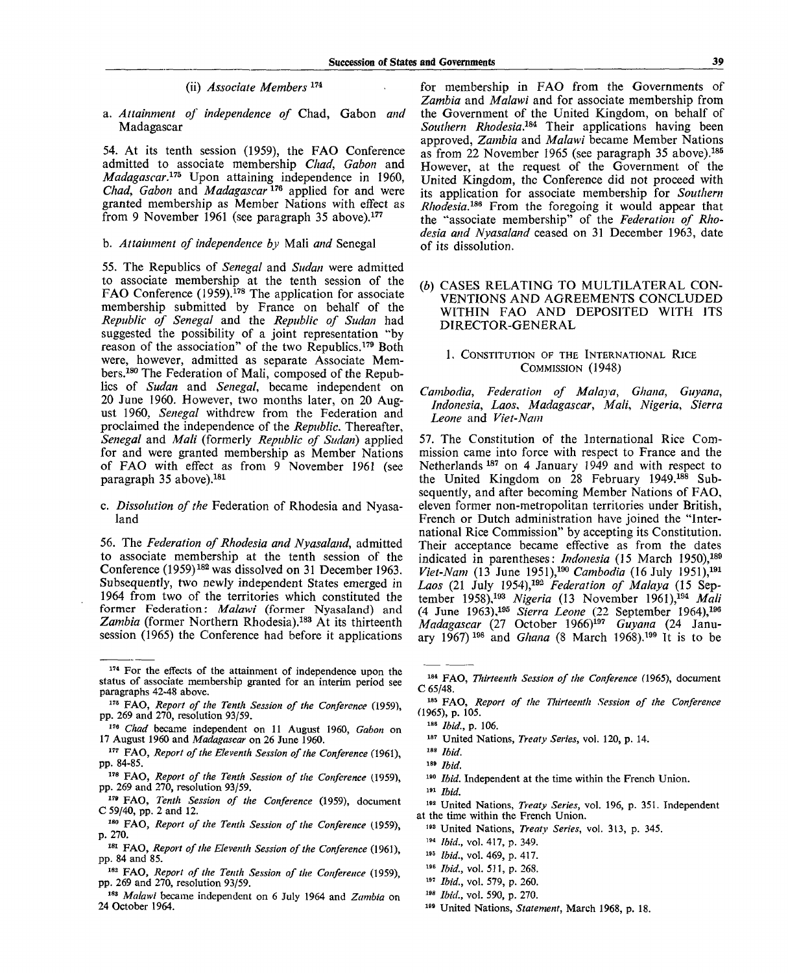# (ii) *Associate Members*<sup>174</sup>

a. *Attainment of independence of* Chad, Gabon *and* Madagascar

54. At its tenth session (1959), the FAO Conference admitted to associate membership *Cliad, Gabon* and *Madagascar.<sup>115</sup>* Upon attaining independence in 1960, *Chad, Gabon* and *Madagascar*<sup>176</sup> applied for and were granted membership as Member Nations with effect as from 9 November 1961 (see paragraph 35 above).<sup>177</sup>

# b. *Attainment of independence by* Mali *and* Senegal

55. The Republics of *Senegal* and *Sudan* were admitted to associate membership at the tenth session of the FAO Conference (1959).<sup>178</sup> The application for associate membership submitted by France on behalf of the *Republic of Senegal* and the *Republic of Sudan* had suggested the possibility of a joint representation "by reason of the association" of the two Republics.<sup>179</sup> Both were, however, admitted as separate Associate Members.<sup>180</sup> The Federation of Mali, composed of the Republics of *Sudan* and *Senegal,* became independent on 20 June 1960. However, two months later, on 20 August 1960, *Senegal* withdrew from the Federation and proclaimed the independence of the *Republic.* Thereafter, *Senegal* and *Mali* (formerly *Republic of Sudan)* applied for and were granted membership as Member Nations of FAO with effect as from 9 November 1961 (see paragraph 35 above).<sup>181</sup>

c. *Dissolution of the* Federation of Rhodesia and Nyasaland

56. The *Federation of Rhodesia and Nyasaland,* admitted to associate membership at the tenth session of the Conference (1959)<sup>182</sup> was dissolved on 31 December 1963. Subsequently, two newly independent States emerged in 1964 from two of the territories which constituted the former Federation: *Malawi* (former Nyasaland) and *Zambia* (former Northern Rhodesia).<sup>183</sup> At its thirteenth session (1965) the Conference had before it applications

- 176 FAO, *Report of the Tenth Session of the Conference* (1959), pp. 269 and 270, resolution 93/59.
- 176  *Chad* became independent on 11 August I960, *Gabon* on 17 August 1960 and *Madagascar* on 26 June 1960.
- 177 FAO, Report of the Eleventh Session of the Conference (1961), pp. 84-85.
- 178 FAO, *Report of the Tenth Session of the Conference* (1959), pp. 269 and 270, resolution 93/59.
- 179 FAO, *Tenth Session of the Conference* (1959), document C 59/40, pp. 2 and 12.
- 180 FAO, *Report of the Tenth Session of the Conference* (1959), p. 270.
- 181 FAO, *Report of the Eleventh Session of the Conference* (196)), pp. 84 and 85.
- 182 FAO, *Report of the Tenth Session of the Conference* (1959), pp. 269 and 270, resolution 93/59.
- 183  *Malawi* became independent on 6 July 1964 and *Zambia* on 24 October 1964.

for membership in FAO from the Governments of *Zambia* and *Malawi* and for associate membership from the Government of the United Kingdom, on behalf of *Southern Rhodesia.<sup>18</sup>\** Their applications having been approved, *Zambia* and *Malawi* became Member Nations as from 22 November 1965 (see paragraph 35 above).<sup>186</sup> However, at the request of the Government of the United Kingdom, the Conference did not proceed with its application for associate membership for *Southern Rhodesia.<sup>199</sup>* From the foregoing it would appear that the "associate membership" of the *Federation of Rhodesia and Nyasaland* ceased on 31 December 1963, date of its dissolution.

*(b)* CASES RELATING TO MULTILATERAL CON-VENTIONS AND AGREEMENTS CONCLUDED WITHIN FAO AND DEPOSITED WITH ITS DIRECTOR-GENERAL

#### 1. CONSTITUTION OF THE INTERNATIONAL RICE COMMISSION (1948)

## *Cambodia, Federation of Malaya, Ghana, Guyana, Indonesia, Laos, Madagascar, Mali, Nigeria, Sierra Leone* and *Viet-Nam*

57. The Constitution of the International Rice Commission came into force with respect to France and the Netherlands <sup>187</sup> on 4 January 1949 and with respect to the United Kingdom on 28 February 1949.<sup>188</sup> Subsequently, and after becoming Member Nations of FAO, eleven former non-metropolitan territories under British, French or Dutch administration have joined the "International Rice Commission" by accepting its Constitution. Their acceptance became effective as from the dates indicated in parentheses: *Indonesia* (15 March 1950),<sup>189</sup> *Viet-Nam* (13 June 1951),<sup>190</sup>  *Cambodia* (16 July 1951),<sup>191</sup> *Laos* (21 July 1954),<sup>193</sup>  *Federation of Malaya* (15 September 1958),<sup>193</sup>  *Nigeria* (13 November 1961),<sup>194</sup>  *Mali* (4 June 1963),<sup>195</sup>  *Sierra Leone* (22 September 1964),<sup>186</sup> *Madagascar* (27 October 1966)<sup>197</sup>  *Guyana* (24 January 1967)<sup>198</sup> and *Ghana* (8 March 1968).<sup>199</sup> It is to be

- <sup>185</sup> FAO, Report of the Thirteenth Session of the Conference  $(1965)$ , p.  $105$ .
	- <sup>186</sup> *Ibid.*, p. 106.
	- <sup>187</sup> United Nations, *Treaty Series*, vol. 120, p. 14.
	- 188  *Ibid.*
	- 189  *Ibid.*
	- <sup>190</sup> Ibid. Independent at the time within the French Union.
- 191  *Ibid.*
- 192 United Nations, *Treaty Series,* vol. 196, p. 351. Independent at the time within the French Union.
- 193 United Nations, *Treaty Series,* vol. 313, p. 345.
- <sup>194</sup> *Ibid.*, vol. 417, p. 349.
- <sup>195</sup> *Ibid.*, vol. 469, p. 417.
- <sup>196</sup> *Ibid.*, vol. 511, p. 268.
- 197  *Ibid.,* vol. 579, p. 260.
- 198  *Ibid.,* vol. 590, p. 270.
- 199 United Nations, *Statement,* March 1968, p. 18.

<sup>174</sup> For the effects of the attainment of independence upon the status of associate membership granted for an interim period see paragraphs 42-48 above.

<sup>184</sup> FAO, Thirteenth Session of the Conference (1965), document C 65/48.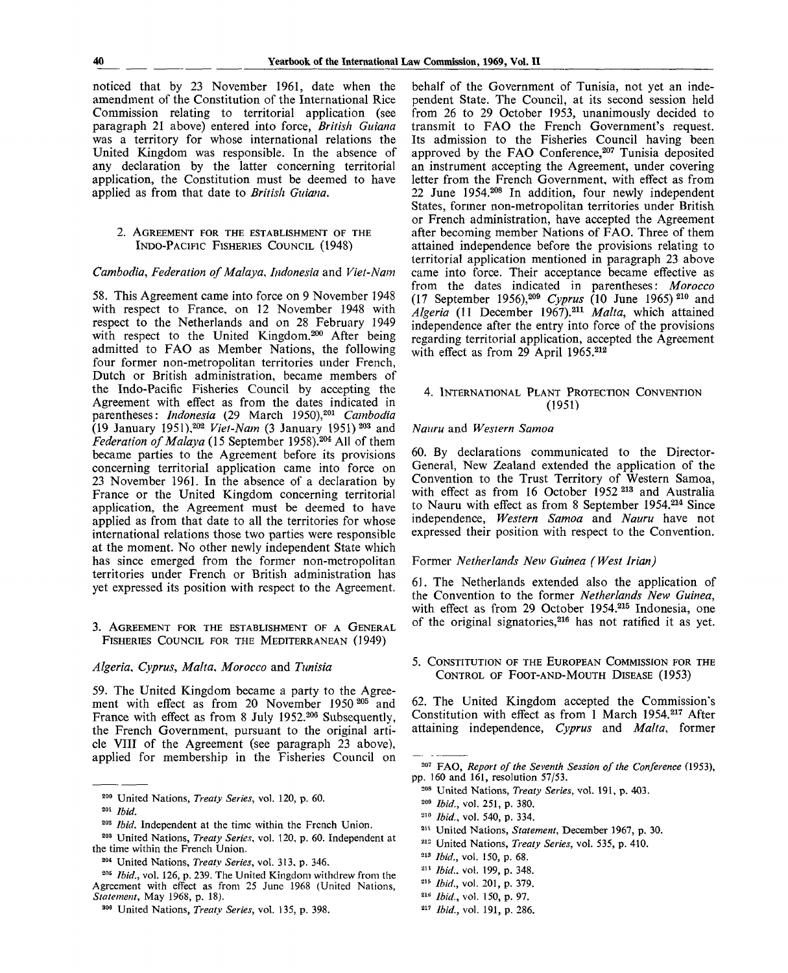noticed that by 23 November 1961, date when the amendment of the Constitution of the International Rice Commission relating to territorial application (see paragraph 21 above) entered into force, *British Guiana* was a territory for whose international relations the United Kingdom was responsible. In the absence of any declaration by the latter concerning territorial application, the Constitution must be deemed to have applied as from that date to *British Guiana.*

#### *2.* AGREEMENT FOR THE ESTABLISHMENT OF THE INDO-PACIFIC FISHERIES COUNCIL (1948)

# *Cambodia, Federation of Malaya, Indonesia* and *Viet-Nam*

58. This Agreement came into force on 9 November 1948 with respect to France, on 12 November 1948 with respect to the Netherlands and on 28 February 1949 with respect to the United Kingdom.<sup>200</sup> After being admitted to FAO as Member Nations, the following four former non-metropolitan territories under French, Dutch or British administration, became members of the Indo-Pacific Fisheries Council by accepting the Agreement with effect as from the dates indicated in parentheses: *Indonesia* (29 March 1950),<sup>201</sup> Cambodia (19 January 1951),<sup>202</sup>  *Viet-Nam* (3 January 1951) 203 and Federation of Malaya (15 September 1958).<sup>204</sup> All of them became parties to the Agreement before its provisions concerning territorial application came into force on 23 November 1961. In the absence of a declaration by France or the United Kingdom concerning territorial application, the Agreement must be deemed to have applied as from that date to all the territories for whose international relations those two parties were responsible at the moment. No other newly independent State which has since emerged from the former non-metropolitan territories under French or British administration has yet expressed its position with respect to the Agreement.

## 3. AGREEMENT FOR THE ESTABLISHMENT OF A GENERAL FISHERIES COUNCIL FOR THE MEDITERRANEAN (1949)

## *Algeria, Cyprus, Malta, Morocco* and *Tunisia*

59. The United Kingdom became a party to the Agreement with effect as from 20 November 1950<sup>205</sup> and France with effect as from 8 July 1952.<sup>206</sup> Subsequently, the French Government, pursuant to the original article VIII of the Agreement (see paragraph 23 above), applied for membership in the Fisheries Council on

201  *Ibid.*

behalf of the Government of Tunisia, not yet an independent State. The Council, at its second session held from 26 to 29 October 1953, unanimously decided to transmit to FAO the French Government's request. Its admission to the Fisheries Council having been approved by the FAO Conference,<sup>207</sup> Tunisia deposited an instrument accepting the Agreement, under covering letter from the French Government, with effect as from 22 June 1954.<sup>208</sup> In addition, four newly independent States, former non-metropolitan territories under British or French administration, have accepted the Agreement after becoming member Nations of FAO. Three of them attained independence before the provisions relating to territorial application mentioned in paragraph 23 above came into force. Their acceptance became effective as from the dates indicated in parentheses: *Morocco* (17 September 1956),<sup>209</sup> Cyprus (10 June 1965)<sup>210</sup> and *Algeria* (11 December 1967).<sup>211</sup>  *Malta,* which attained independence after the entry into force of the provisions regarding territorial application, accepted the Agreement with effect as from 29 April 1965.<sup>212</sup>

## 4. INTERNATIONAL PLANT PROTECTION CONVENTION (1951)

## *Nauru* and *Western Samoa*

60. By declarations communicated to the Director-General, New Zealand extended the application of the Convention to the Trust Territory of Western Samoa, with effect as from 16 October 1952<sup>213</sup> and Australia to Nauru with effect as from 8 September 1954.<sup>214</sup> Since independence, *Western Samoa* and *Nauru* have not expressed their position with respect to the Convention.

## Former *Netherlands New Guinea (West Irian)*

61. The Netherlands extended also the application of the Convention to the former *Netherlands New Guinea,* with effect as from 29 October **1954.<sup>215</sup>** Indonesia, one of the original signatories,<sup>216</sup> has not ratified it as yet.

### 5. CONSTITUTION OF THE EUROPEAN COMMISSION FOR THE CONTROL OF FOOT-AND-MOUTH DISEASE (1953)

62. The United Kingdom accepted the Commission's Constitution with effect as from 1 March 1954.<sup>217</sup> After attaining independence, *Cyprus* and *Malta,* former

- 208 United Nations, *Treaty Series,* vol. 191, p. 403.
- 200  *Ibid.,* vol. 251, p. 380.
- 210  *Ibid.,* vol. 540, p. 334.
- <sup>211</sup> United Nations, Statement, December 1967, p. 30.
- 212 United Nations, *Treaty Series,* vol. 535, p. 410.
- 213  *Ibid.,* vol. 150, p. 68.
- 211  *Ibid.,* vol. 199, p. 348.
- 215  *Ibid.,* vol. 201, p. 379.
- <sup>21</sup>" *Ibid.,* vol. 150, p. 97.
- 217  *Ibid.,* vol. 191, p. 286.

<sup>200</sup> United Nations, *Treaty Series,* vol. 120, p. 60.

<sup>&</sup>lt;sup>202</sup> *Ibid*. Independent at the time within the French Union.

<sup>203</sup> United Nations, *Treaty Series,* vol. 120, p. 60. Independent at the time within the French Union.

<sup>201</sup> United Nations, *Treaty Series,* vol. 313, p. 346.

<sup>205</sup>  *Ibid.,* vol. 126, p. 239. The United Kingdom withdrew from the Agreement with effect as from 25 June 1968 (United Nations, *Statement,* May 1968, p. 18).

<sup>306</sup> United Nations, *Treaty Series,* vol. 135, p. 398.

<sup>20?</sup> FAO, *Report of the Seventh Session of the Conference* (1953), pp. 160 and 161, resolution 57/53.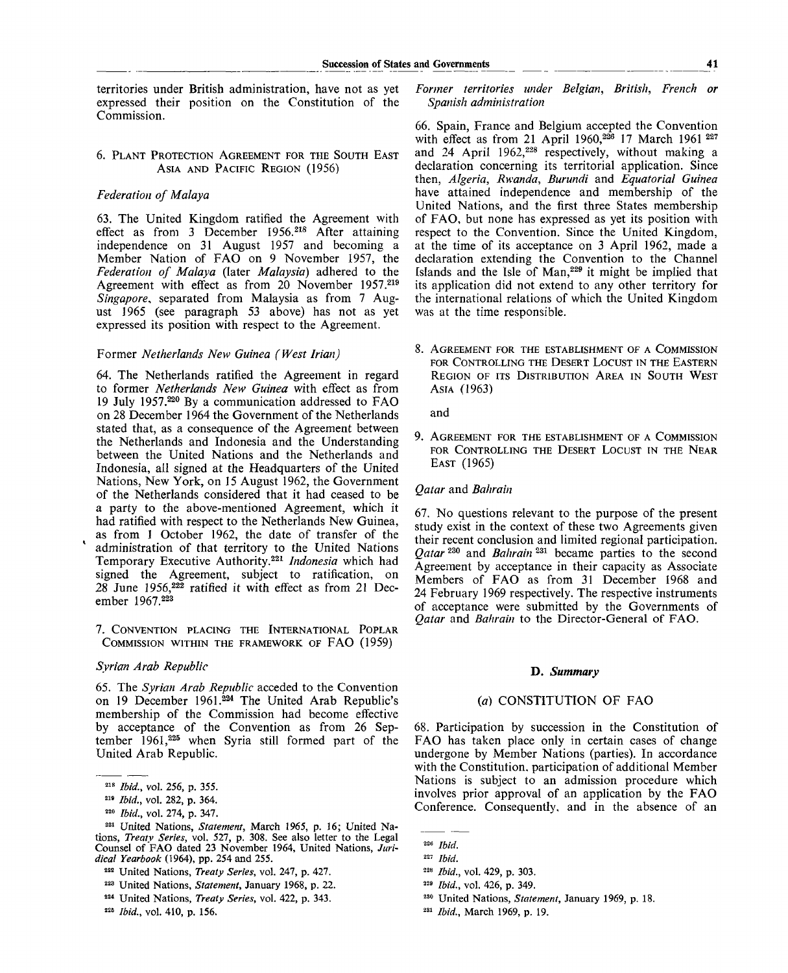territories under British administration, have not as yet expressed their position on the Constitution of the Commission.

### 6. PLANT PROTECTION AGREEMENT FOR THE SOUTH EAST ASIA AND PACIFIC REGION (1956)

# *Federation of Malaya*

63. The United Kingdom ratified the Agreement with effect as from 3 December 1956.<sup>218</sup> After attaining independence on 31 August 1957 and becoming a Member Nation of FAO on 9 November 1957, the *Federation of Malaya* (later *Malaysia)* adhered to the Agreement with effect as from 20 November 1957.<sup>219</sup> *Singapore,* separated from Malaysia as from 7 August 1965 (see paragraph 53 above) has not as yet expressed its position with respect to the Agreement.

# Former *Netherlands New Guinea (West Irian)*

64. The Netherlands ratified the Agreement in regard to former *Netherlands New Guinea* with effect as from 19 July 1957.<sup>220</sup> By a communication addressed to FAO on 28 December 1964 the Government of the Netherlands stated that, as a consequence of the Agreement between the Netherlands and Indonesia and the Understanding between the United Nations and the Netherlands and Indonesia, all signed at the Headquarters of the United Nations, New York, on 15 August 1962, the Government of the Netherlands considered that it had ceased to be a party *to* the above-mentioned Agreement, which it had ratified with respect to the Netherlands New Guinea, as from 1 October 1962, the date of transfer of the administration of that territory to the United Nations Temporary Executive Authority.<sup>221</sup>  *Indonesia* which had signed the Agreement, subject to ratification, on 28 June 1956,<sup>222</sup> ratified it with effect as from 21 December 1967.<sup>223</sup>

7. CONVENTION PLACING THE INTERNATIONAL POPLAR COMMISSION WITHIN THE FRAMEWORK OF FAO (1959)

# *Syrian Arab Republic*

65. The *Syrian Arab Republic* acceded to the Convention on 19 December 1961.<sup>224</sup> The United Arab Republic's membership of the Commission had become effective by acceptance of the Convention as from 26 September 1961,<sup>225</sup> when Syria still formed part of the United Arab Republic.

*Former territories under Belgian, British, French or Spanish administration*

66. Spain, France and Belgium accepted the Convention with effect as from 21 April 1960,<sup>226</sup> 17 March 1961<sup>227</sup> and 24 April 1962,<sup>228</sup> respectively, without making a declaration concerning its territorial application. Since then, *Algeria, Rwanda, Burundi* and *Equatorial Guinea* have attained independence and membership of the United Nations, and the first three States membership of FAO, but none has expressed as yet its position with respect to the Convention. Since the United Kingdom, at the time of its acceptance on 3 April 1962, made a declaration extending the Convention to the Channel Islands and the Isle of Man,<sup>229</sup> it might be implied that its application did not extend to any other territory for the international relations of which the United Kingdom was at the time responsible.

8. AGREEMENT FOR THE ESTABLISHMENT OF A COMMISSION FOR CONTROLLING THE DESERT LOCUST IN THE EASTERN REGION OF ITS DISTRIBUTION AREA IN SOUTH WEST ASIA (1963)

and

9. AGREEMENT FOR THE ESTABLISHMENT OF A COMMISSION FOR CONTROLLING THE DESERT LOCUST IN THE NEAR EAST (1965)

## *Qatar* and *Bahrain*

67. No questions relevant to the purpose of the present study exist in the context of these two Agreements given their recent conclusion and limited regional participation. Qatar<sup>230</sup> and *Bahrain*<sup>231</sup> became parties to the second Agreement by acceptance in their capacity as Associate Members of FAO as from 31 December 1968 and 24 February 1969 respectively. The respective instruments of acceptance were submitted by the Governments of *Qatar* and *Bahrain* to the Director-General of FAO.

#### D. *Summary*

# *{a)* CONSTITUTION OF FAO

68. Participation by succession in the Constitution of FAO has taken place only in certain cases of change undergone by Member Nations (parties). In accordance with the Constitution, participation of additional Member Nations is subject to an admission procedure which involves prior approval of an application by the FAO Conference. Consequently, and in the absence of an

230 United Nations, *Statement,* January 1969, p. 18.

<sup>&</sup>lt;sup>218</sup> *Ibid.*, vol. 256, p. 355.

<sup>&</sup>lt;sup>219</sup> *Ibid.*, vol. 282, p. 364.

<sup>&</sup>lt;sup>220</sup> *Ibid.*, vol. 274, p. 347.

<sup>221</sup> United Nations, *Statement,* March 1965, p. 16; United Nations, *Treatv Series,* vol. 527, p. 308. See also letter to the Legal Counsel of FAO dated 23 November 1964, United Nations, *Juridical Yearbook* (1964), pp. 254 and 255.

<sup>222</sup> United Nations, *Treaty Series,* vol. 247, p. 427.

<sup>223</sup> United Nations, *Statement,* January 1968, p. 22.

<sup>224</sup> United Nations, *Treaty Series,* vol. 422, p. 343.

<sup>226</sup>  *Ibid.,* vol. 410, p. 156.

<sup>226</sup>  *Ibid.*

<sup>227</sup>  *Ibid.*

<sup>228</sup>  *Ibid.,* vol. 429, p. 303.

<sup>229</sup>  *Ibid.,* vol. 426, p. 349.

<sup>231</sup>  *Ibid.,* March 1969, p. 19.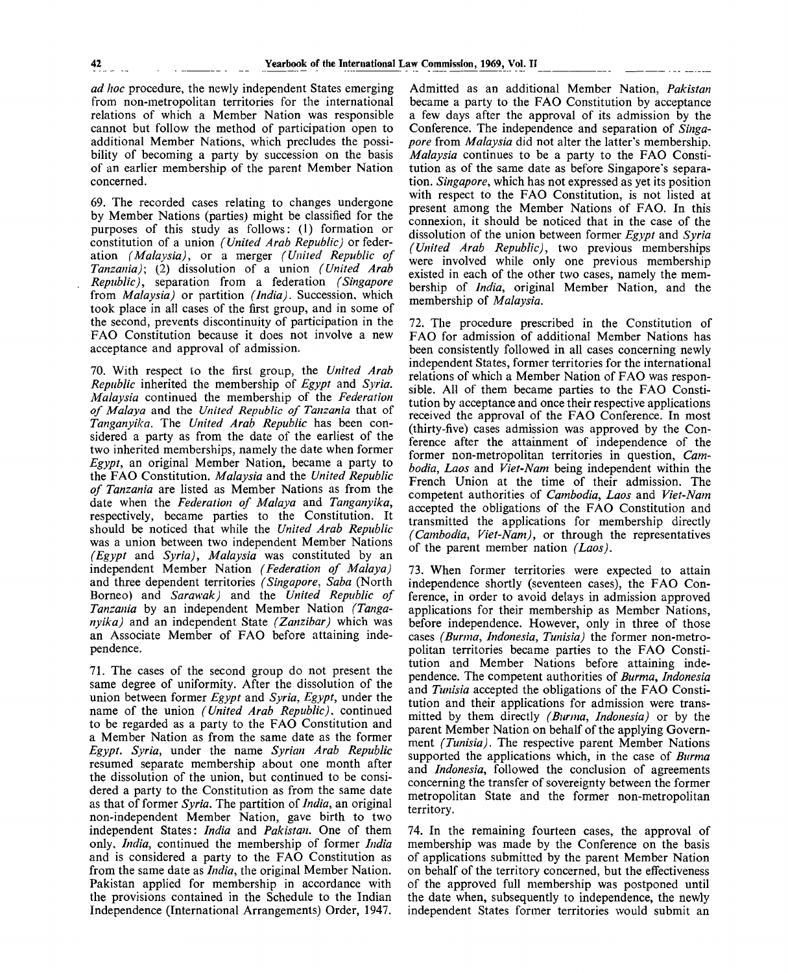*ad hoc* procedure, the newly independent States emerging from non-metropolitan territories for the international relations of which a Member Nation was responsible cannot but follow the method of participation open to additional Member Nations, which precludes the possibility of becoming a party by succession on the basis of an earlier membership of the parent Member Nation concerned.

69. The recorded cases relating to changes undergone by Member Nations (parties) might be classified for the purposes of this study as follows: (1) formation or constitution of a union *(United Arab Republic)* or federation *(Malaysia),* or a merger *(United Republic of Tanzania);* (2) dissolution of a union *(United Arab Republic),* separation from a federation *(Singapore* from *Malaysia)* or partition *(India).* Succession, which took place in all cases of the first group, and in some of the second, prevents discontinuity of participation in the FAO Constitution because it does not involve a new acceptance and approval of admission.

70. With respect to the first group, the *United Arab Republic* inherited the membership of *Egypt* and *Syria. Malaysia* continued the membership of the *Federation of Malaya* and the *United Republic of Tanzania* that of *Tanganyika.* The *United Arab Republic* has been considered a party as from the date of the earliest of the two inherited memberships, namely the date when former *Egypt,* an original Member Nation, became a party to the FAO Constitution. *Malaysia* and the *United Republic of Tanzania* are listed as Member Nations as from the date when the *Federation of Malaya* and *Tanganyika,* respectively, became parties to the Constitution. It should be noticed that while the *United Arab Republic* was a union between two independent Member Nations *(Egypt* and *Syria), Malaysia* was constituted by an independent Member Nation *(Federation of Malaya)* and three dependent territories *(Singapore, Saba* (North Borneo) and *Sarawak)* and the *United Republic of Tanzania* by an independent Member Nation *(Tanganyika)* and an independent State *(Zanzibar)* which was an Associate Member of FAO before attaining independence.

71. The cases of the second group do not present the same degree of uniformity. After the dissolution of the union between former *Egypt* and *Syria, Egypt,* under the name of the union *(United Arab Republic),* continued to be regarded as a party to the FAO Constitution and a Member Nation as from the same date as the former *Egypt. Syria,* under the name *Syrian Arab Republic* resumed separate membership about one month after the dissolution of the union, but continued to be considered a party to the Constitution as from the same date as that of former *Syria.* The partition of *India,* an original non-independent Member Nation, gave birth to two independent States: *India* and *Pakistan.* One of them only, *India,* continued the membership of former *India* and is considered a party to the FAO Constitution as from the same date as *India,* the original Member Nation. Pakistan applied for membership in accordance with the provisions contained in the Schedule to the Indian Independence (International Arrangements) Order, 1947.

Admitted as an additional Member Nation, *Pakistan* became a party to the FAO Constitution by acceptance a few days after the approval of its admission by the Conference. The independence and separation of *Singapore* from *Malaysia* did not alter the latter's membership. *Malaysia* continues to be a party to the FAO Constitution as of the same date as before Singapore's separation. *Singapore,* which has not expressed as yet its position with respect to the FAO Constitution, is not listed at present among the Member Nations of FAO. In this connexion, it should be noticed that in the case of the dissolution of the union between former *Egypt* and *Syria (United Arab Republic),* two previous memberships were involved while only one previous membership existed in each of the other two cases, namely the membership of *India,* original Member Nation, and the membership of *Malaysia.*

72. The procedure prescribed in the Constitution of FAO for admission of additional Member Nations has been consistently followed in all cases concerning newly independent States, former territories for the international relations of which a Member Nation of FAO was responsible. All of them became parties to the FAO Constitution by acceptance and once their respective applications received the approval of the FAO Conference. In most (thirty-five) cases admission was approved by the Conference after the attainment of independence of the former non-metropolitan territories in question, *Cambodia, Laos* and *Viet-Nam* being independent within the French Union at the time of their admission. The competent authorities of *Cambodia, Laos* and *Viet-Nam* accepted the obligations of the FAO Constitution and transmitted the applications for membership directly *(Cambodia, Viet-Nam),* or through the representatives of the parent member nation *(Laos).*

73. When former territories were expected to attain independence shortly (seventeen cases), the FAO Conference, in order to avoid delays in admission approved applications for their membership as Member Nations, before independence. However, only in three of those cases *(Burma, Indonesia, Tunisia)* the former non-metropolitan territories became parties to the FAO Constitution and Member Nations before attaining independence. The competent authorities of *Burma, Indonesia* and *Tunisia* accepted the obligations of the FAO Constitution and their applications for admission were transmitted by them directly *(Burma, Indonesia)* or by the parent Member Nation on behalf of the applying Government *(Tunisia).* The respective parent Member Nations supported the applications which, in the case of *Burma* and *Indonesia,* followed the conclusion of agreements concerning the transfer of sovereignty between the former metropolitan State and the former non-metropolitan territory.

74. In the remaining fourteen cases, the approval of membership was made by the Conference on the basis of applications submitted by the parent Member Nation on behalf of the territory concerned, but the effectiveness of the approved full membership was postponed until the date when, subsequently to independence, the newly independent States former territories would submit an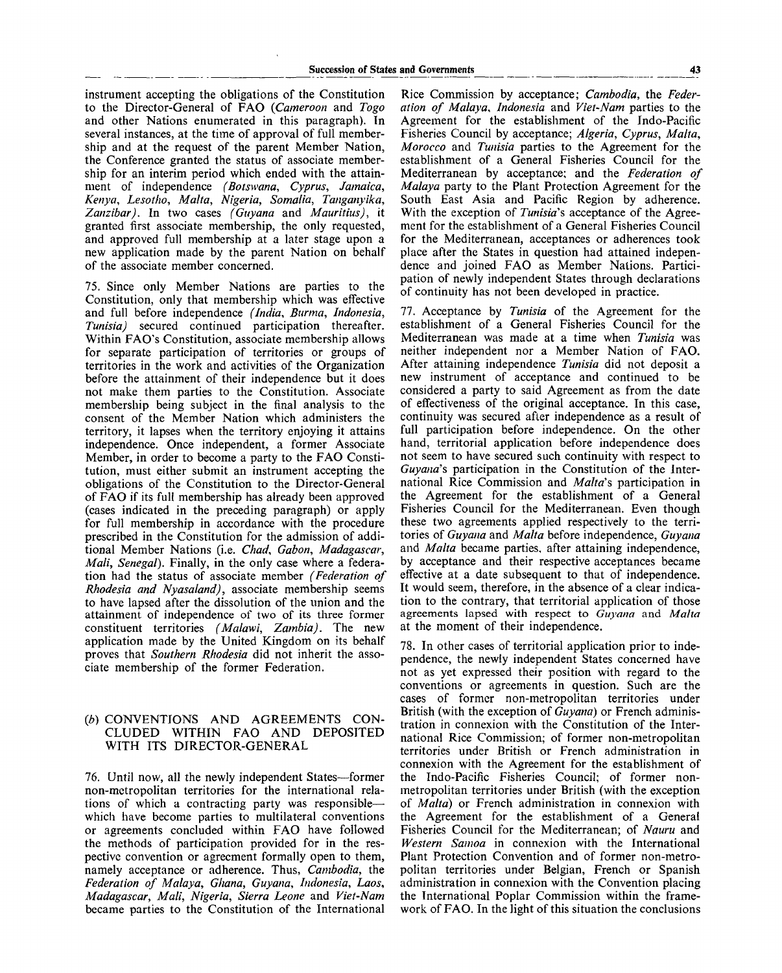instrument accepting the obligations of the Constitution to the Director-General of FAO *(Cameroon* and *Togo* and other Nations enumerated in this paragraph). In several instances, at the time of approval of full membership and at the request of the parent Member Nation, the Conference granted the status of associate membership for an interim period which ended with the attainment of independence *(Botswana, Cyprus, Jamaica, Kenya, Lesotho, Malta, Nigeria, Somalia, Tanganyika, Zanzibar).* In two cases *(Guyana* and *Mauritius),* it granted first associate membership, the only requested, and approved full membership at a later stage upon a new application made by the parent Nation on behalf of the associate member concerned.

75. Since only Member Nations are parties to the Constitution, only that membership which was effective and full before independence *(India, Burma, Indonesia, Tunisia)* secured continued participation thereafter. Within FAO's Constitution, associate membership allows for separate participation of territories or groups of territories in the work and activities of the Organization before the attainment of their independence but it does not make them parties to the Constitution. Associate membership being subject in the final analysis to the consent of the Member Nation which administers the territory, it lapses when the territory enjoying it attains independence. Once independent, a former Associate Member, in order to become a party to the FAO Constitution, must either submit an instrument accepting the obligations of the Constitution to the Director-General of FAO if its full membership has already been approved (cases indicated in the preceding paragraph) or apply for full membership in accordance with the procedure prescribed in the Constitution for the admission of additional Member Nations (i.e. *Chad, Gabon, Madagascar, Mali, Senegal).* Finally, in the only case where a federation had the status of associate member *(Federation of Rhodesia and Nyasaland),* associate membership seems to have lapsed after the dissolution of the union and the attainment of independence of two of its three former constituent territories *(Malawi, Zambia).* The new application made by the United Kingdom on its behalf proves that *Southern Rhodesia* did not inherit the associate membership of the former Federation.

# *(b)* CONVENTIONS AND AGREEMENTS CON-CLUDED WITHIN FAO AND DEPOSITED WITH ITS DIRECTOR-GENERAL

76. Until now, all the newly independent States—former non-metropolitan territories for the international relations of which a contracting party was responsible which have become parties to multilateral conventions or agreements concluded within FAO have followed the methods of participation provided for in the respective convention or agreement formally open to them, namely acceptance or adherence. Thus, *Cambodia,* the *Federation of Malaya, Ghana, Guyana, Indonesia, Laos, Madagascar, Mali, Nigeria, Sierra Leone* and *Viet-Nam* became parties to the Constitution of the International

Rice Commission by acceptance; *Cambodia,* the *Federation of Malaya, Indonesia* and *Viet-Nam* parties to the Agreement for the establishment of the Indo-Pacific Fisheries Council by acceptance; *Algeria, Cyprus, Malta, Morocco* and *Tunisia* parties to the Agreement for the establishment of a General Fisheries Council for the Mediterranean by acceptance; and the *Federation of Malaya* party to the Plant Protection Agreement for the South East Asia and Pacific Region by adherence. With the exception of *Tunisia's* acceptance of the Agreement for the establishment of a General Fisheries Council for the Mediterranean, acceptances or adherences took place after the States in question had attained independence and joined FAO as Member Nations. Participation of newly independent States through declarations of continuity has not been developed in practice.

77. Acceptance by *Tunisia* of the Agreement for the establishment of a General Fisheries Council for the Mediterranean was made at a time when *Tunisia* was neither independent nor a Member Nation of FAO. After attaining independence *Tunisia* did not deposit a new instrument of acceptance and continued to be considered a party to said Agreement as from the date of effectiveness of the original acceptance. In this case, continuity was secured after independence as a result of full participation before independence. On the other hand, territorial application before independence does not seem to have secured such continuity with respect to *Guyana's* participation in the Constitution of the International Rice Commission and *Malta's* participation in the Agreement for the establishment of a General Fisheries Council for the Mediterranean. Even though these two agreements applied respectively to the territories of *Guyana* and *Malta* before independence, *Guyana* and *Malta* became parties, after attaining independence, by acceptance and their respective acceptances became effective at a date subsequent to that of independence. It would seem, therefore, in the absence of a clear indication to the contrary, that territorial application of those agreements lapsed with respect to *Guyana* and *Malta* at the moment of their independence.

78. In other cases of territorial application prior to independence, the newly independent States concerned have not as yet expressed their position with regard to the conventions or agreements in question. Such are the cases of former non-metropolitan territories under British (with the exception of *Guyana)* or French administration in connexion with the Constitution of the International Rice Commission; of former non-metropolitan territories under British or French administration in connexion with the Agreement for the establishment of the Indo-Pacific Fisheries Council; of former nonmetropolitan territories under British (with the exception of *Malta)* or French administration in connexion with the Agreement for the establishment of a General Fisheries Council for the Mediterranean; of *Nauru* and *Western Samoa* in connexion with the International Plant Protection Convention and of former non-metropolitan territories under Belgian, French or Spanish administration in connexion with the Convention placing the International Poplar Commission within the framework of FAO. In the light of this situation the conclusions